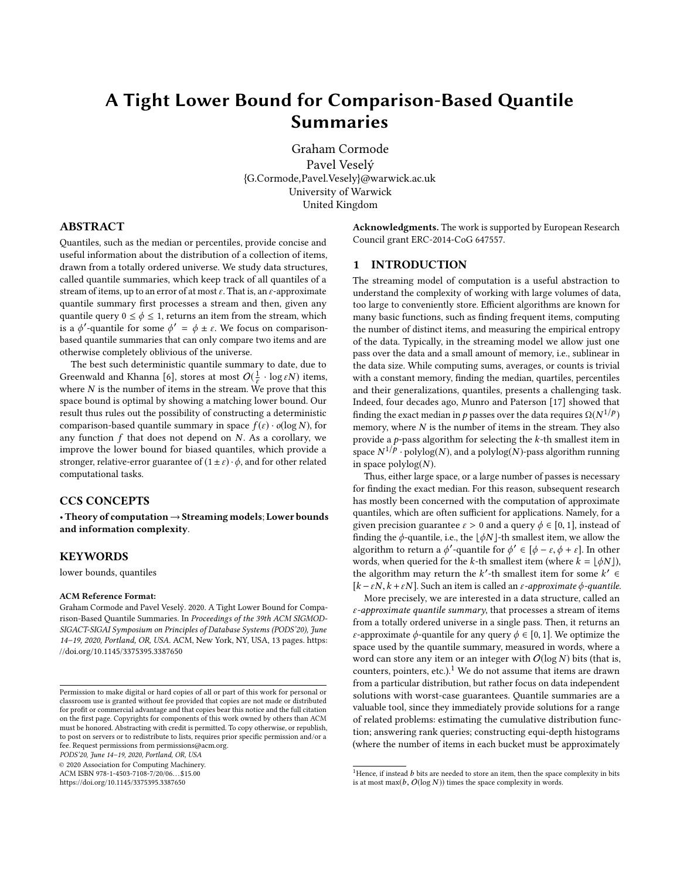# A Tight Lower Bound for Comparison-Based Quantile Summaries

Graham Cormode Pavel Veselý {G.Cormode,Pavel.Vesely}@warwick.ac.uk University of Warwick United Kingdom

# ABSTRACT

Quantiles, such as the median or percentiles, provide concise and useful information about the distribution of a collection of items, drawn from a totally ordered universe. We study data structures, called quantile summaries, which keep track of all quantiles of a stream of items, up to an error of at most  $\varepsilon$ . That is, an  $\varepsilon$ -approximate quantile summary first processes a stream and then, given any quantile query  $0 \le \phi \le 1$ , returns an item from the stream, which is a  $\phi'$ -quantile for some  $\phi' = \phi \pm \varepsilon$ . We focus on comparisonbased quantile summaries that can only compare two items and are otherwise completely oblivious of the universe.

The best such deterministic quantile summary to date, due to Greenwald and Khanna [\[6\]](#page-12-0), stores at most  $O(\frac{1}{\varepsilon} \cdot \log \varepsilon N)$  items, where  $N$  is the number of items in the stream. We prove that this space bound is optimal by showing a matching lower bound. Our result thus rules out the possibility of constructing a deterministic comparison-based quantile summary in space  $f(\varepsilon) \cdot o(\log N)$ , for any function  $f$  that does not depend on  $N$ . As a corollary, we improve the lower bound for biased quantiles, which provide a stronger, relative-error guarantee of  $(1 \pm \varepsilon) \cdot \phi$ , and for other related computational tasks.

# CCS CONCEPTS

• Theory of computation→Streaming models; Lower bounds and information complexity.

## KEYWORDS

lower bounds, quantiles

#### ACM Reference Format:

Graham Cormode and Pavel Veselý. 2020. A Tight Lower Bound for Comparison-Based Quantile Summaries. In Proceedings of the 39th ACM SIGMOD-SIGACT-SIGAI Symposium on Principles of Database Systems (PODS'20), June 14–19, 2020, Portland, OR, USA. ACM, New York, NY, USA, [13](#page-12-1) pages. [https:](https://doi.org/10.1145/3375395.3387650) [//doi.org/10.1145/3375395.3387650](https://doi.org/10.1145/3375395.3387650)

PODS'20, June 14–19, 2020, Portland, OR, USA

© 2020 Association for Computing Machinery.

ACM ISBN 978-1-4503-7108-7/20/06. . . \$15.00

<https://doi.org/10.1145/3375395.3387650>

Acknowledgments. The work is supported by European Research Council grant ERC-2014-CoG 647557.

## 1 INTRODUCTION

The streaming model of computation is a useful abstraction to understand the complexity of working with large volumes of data, too large to conveniently store. Efficient algorithms are known for many basic functions, such as finding frequent items, computing the number of distinct items, and measuring the empirical entropy of the data. Typically, in the streaming model we allow just one pass over the data and a small amount of memory, i.e., sublinear in the data size. While computing sums, averages, or counts is trivial with a constant memory, finding the median, quartiles, percentiles and their generalizations, quantiles, presents a challenging task. Indeed, four decades ago, Munro and Paterson [\[17\]](#page-12-2) showed that finding the exact median in p passes over the data requires  $\Omega(N^{1/p})$ <br>memory, where N is the number of items in the stream. They also memory, where  $N$  is the number of items in the stream. They also provide a  $p$ -pass algorithm for selecting the  $k$ -th smallest item in space  $N^{1/p}$  · polylog(N), and a polylog(N)-pass algorithm running in space  $polylog(N)$ .

Thus, either large space, or a large number of passes is necessary for finding the exact median. For this reason, subsequent research has mostly been concerned with the computation of approximate quantiles, which are often sufficient for applications. Namely, for a given precision guarantee  $\varepsilon > 0$  and a query  $\phi \in [0, 1]$ , instead of finding the  $\phi$ -quantile, i.e., the  $\lfloor \phi N \rfloor$ -th smallest item, we allow the algorithm to return a  $\phi'$ -quantile for  $\phi' \in [\phi - \varepsilon, \phi + \varepsilon]$ . In other<br>words when queried for the k-th smallest item (where  $k = |A N|$ ) words, when queried for the k-th smallest item (where  $k = \lfloor \phi N \rfloor$ ), the algorithm may return the k'-th smallest item for some  $k' \in$  $[k - \varepsilon N, k + \varepsilon N]$ . Such an item is called an  $\varepsilon$ -approximate  $\phi$ -quantile.

More precisely, we are interested in a data structure, called an  $\varepsilon$ -approximate quantile summary, that processes a stream of items from a totally ordered universe in a single pass. Then, it returns an *ε*-approximate *ϕ*-quantile for any query  $ϕ ∈ [0, 1]$ . We optimize the space used by the quantile summary, measured in words, where a word can store any item or an integer with  $O(\log N)$  bits (that is, counters, pointers, etc.).<sup>[1](#page-0-0)</sup> We do not assume that items are drawn from a particular distribution, but rather focus on data independent solutions with worst-case guarantees. Quantile summaries are a valuable tool, since they immediately provide solutions for a range of related problems: estimating the cumulative distribution function; answering rank queries; constructing equi-depth histograms (where the number of items in each bucket must be approximately

Permission to make digital or hard copies of all or part of this work for personal or classroom use is granted without fee provided that copies are not made or distributed for profit or commercial advantage and that copies bear this notice and the full citation on the first page. Copyrights for components of this work owned by others than ACM must be honored. Abstracting with credit is permitted. To copy otherwise, or republish, to post on servers or to redistribute to lists, requires prior specific permission and/or a fee. Request permissions from permissions@acm.org.

<span id="page-0-0"></span><sup>&</sup>lt;sup>1</sup>Hence, if instead  $b$  bits are needed to store an item, then the space complexity in bits is at most max( $b$ ,  $O(\log N)$ ) times the space complexity in words.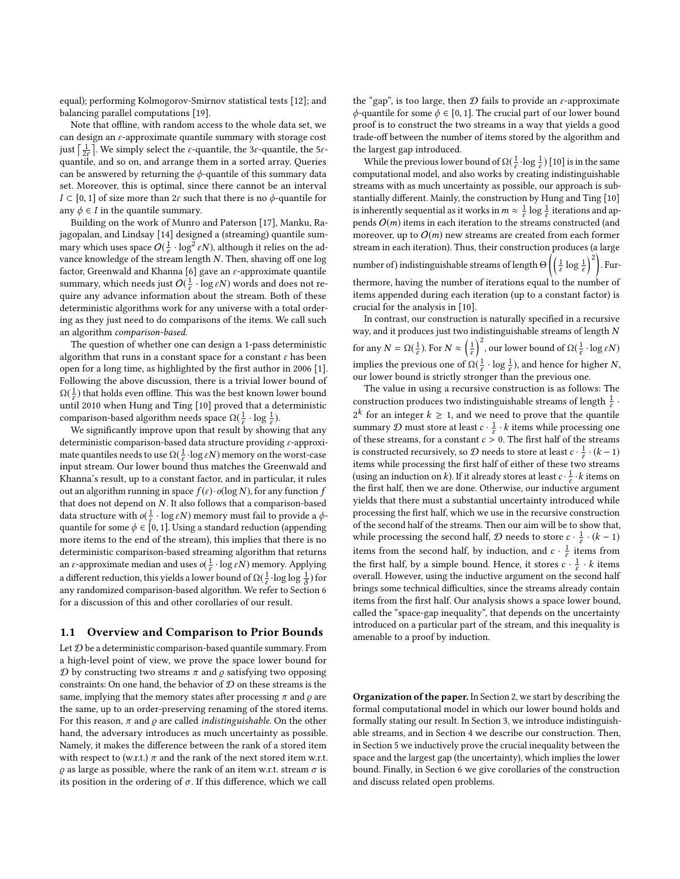equal); performing Kolmogorov-Smirnov statistical tests [\[12\]](#page-12-3); and balancing parallel computations [\[19\]](#page-12-4).

Note that offline, with random access to the whole data set, we can design an  $\varepsilon$ -approximate quantile summary with storage cost just  $\left[\frac{1}{2\varepsilon}\right]$ . We simply select the  $\varepsilon$ -quantile, the 3 $\varepsilon$ -quantile, the 5 $\varepsilon$ quantile, and so on, and arrange them in a sorted array. Queries can be answered by returning the  $\phi$ -quantile of this summary data set. Moreover, this is optimal, since there cannot be an interval  $I \subset [0, 1]$  of size more than  $2\varepsilon$  such that there is no  $\phi$ -quantile for any  $\phi \in I$  in the quantile summary.

Building on the work of Munro and Paterson [\[17\]](#page-12-2), Manku, Rajagopalan, and Lindsay [\[14\]](#page-12-5) designed a (streaming) quantile summary which uses space  $O(\frac{1}{\varepsilon} \cdot \log^2 \varepsilon N)$ , although it relies on the advance knowledge of the stream length N. Then, shaving off one log factor, Greenwald and Khanna [\[6\]](#page-12-0) gave an  $\varepsilon$ -approximate quantile summary, which needs just  $O(\frac{1}{\varepsilon} \cdot \log \varepsilon N)$  words and does not require any advance information about the stream. Both of these deterministic algorithms work for any universe with a total ordering as they just need to do comparisons of the items. We call such an algorithm comparison-based.

The question of whether one can design a 1-pass deterministic algorithm that runs in a constant space for a constant  $\varepsilon$  has been open for a long time, as highlighted by the first author in 2006 [\[1\]](#page-12-6). Following the above discussion, there is a trivial lower bound of  $\Omega(\frac{1}{\varepsilon}))$  $\frac{1}{\varepsilon}$ ) that holds even offline. This was the best known lower bound until 2010 when Hung and Ting [\[10\]](#page-12-7) proved that a deterministic comparison-based algorithm needs space  $\Omega(\frac{1}{\varepsilon}))$ <br>We significantly improve upon that result  $\frac{1}{\varepsilon} \cdot \log \frac{1}{\varepsilon}$ ).

We significantly improve upon that result by showing that any deterministic comparison-based data structure providing ε-approximate quantiles needs to use  $\Omega(\frac{1}{\varepsilon}))$  $\frac{1}{\varepsilon}$  · log  $\varepsilon N$ ) memory on the worst-case input stream. Our lower bound thus matches the Greenwald and Khanna's result, up to a constant factor, and in particular, it rules out an algorithm running in space  $f(\varepsilon) \cdot o(\log N)$ , for any function f that does not depend on N. It also follows that a comparison-based data structure with  $o(\frac{1}{\epsilon})$  $\frac{1}{\varepsilon} \cdot \log \varepsilon N$ ) memory must fail to provide a  $\phi$ quantile for some  $\phi \in [0, 1]$ . Using a standard reduction (appending more items to the end of the stream), this implies that there is no deterministic comparison-based streaming algorithm that returns an  $\varepsilon$ -approximate median and uses  $o(\frac{1}{\varepsilon})$  $\frac{1}{\varepsilon} \cdot \log \varepsilon N$ ) memory. Applying a different reduction, this yields a lower bound of  $\Omega(\frac{1}{\epsilon})$ <br>any randomized comparison-based algorithm. We ref  $\frac{1}{\varepsilon} \cdot \log \log \frac{1}{\delta}$ ) for any randomized comparison-based algorithm. We refer to Section [6](#page-10-0) for a discussion of this and other corollaries of our result.

#### 1.1 Overview and Comparison to Prior Bounds

Let  $D$  be a deterministic comparison-based quantile summary. From a high-level point of view, we prove the space lower bound for  $D$  by constructing two streams  $\pi$  and  $\rho$  satisfying two opposing constraints: On one hand, the behavior of  $D$  on these streams is the same, implying that the memory states after processing  $\pi$  and  $\rho$  are the same, up to an order-preserving renaming of the stored items. For this reason,  $\pi$  and  $\rho$  are called *indistinguishable*. On the other hand, the adversary introduces as much uncertainty as possible. Namely, it makes the difference between the rank of a stored item with respect to (w.r.t.)  $\pi$  and the rank of the next stored item w.r.t.  $\rho$  as large as possible, where the rank of an item w.r.t. stream  $\sigma$  is its position in the ordering of  $\sigma$ . If this difference, which we call

the "gap", is too large, then  $D$  fails to provide an  $\varepsilon$ -approximate  $\phi$ -quantile for some  $\phi \in [0, 1]$ . The crucial part of our lower bound proof is to construct the two streams in a way that yields a good trade-off between the number of items stored by the algorithm and the largest gap introduced.

While the previous lower bound of  $\Omega(\frac{1}{\varepsilon}))$  $\frac{1}{\varepsilon}$  · log  $\frac{1}{\varepsilon}$  ) [\[10\]](#page-12-7) is in the same computational model, and also works by creating indistinguishable streams with as much uncertainty as possible, our approach is substantially different. Mainly, the construction by Hung and Ting [\[10\]](#page-12-7) is inherently sequential as it works in  $m \approx \frac{1}{s}$  $\frac{1}{\varepsilon}$  log  $\frac{1}{\varepsilon}$  iterations and appends  $O(m)$  items in each iteration to the streams constructed (and moreover, up to  $O(m)$  new streams are created from each former stream in each iteration). Thus, their construction produces (a large number of) indistinguishable streams of length  $\Theta\left(\left(\frac{1}{\varepsilon}\right)\right)$  $\frac{1}{\varepsilon} \log \frac{1}{\varepsilon}$ )<sup>2</sup>). Furthermore, having the number of iterations equal to the number of items appended during each iteration (up to a constant factor) is crucial for the analysis in [\[10\]](#page-12-7).

In contrast, our construction is naturally specified in a recursive way, and it produces just two indistinguishable streams of length N for any  $N = \Omega(\frac{1}{\varepsilon})$  $\frac{1}{\varepsilon}$ ). For  $N \approx \left(\frac{1}{\varepsilon}\right)$  $\frac{1}{\varepsilon}$ )<sup>2</sup>, our lower bound of  $\Omega(\frac{1}{\varepsilon})$  $\frac{1}{\varepsilon} \cdot \log \varepsilon N$ implies the previous one of  $\Omega(\frac{1}{\varepsilon}))$  $\frac{1}{\varepsilon} \cdot \log \frac{1}{\varepsilon}$ ), and hence for higher N, our lower bound is strictly stronger than the previous one.

The value in using a recursive construction is as follows: The construction produces two indistinguishable streams of length  $\frac{1}{\varepsilon}$ .  $2^k$  for an integer  $k \geq 1$ , and we need to prove that the quantile summary D must store at least  $c \cdot \frac{1}{s}$  $\frac{1}{\varepsilon} \cdot k$  items while processing one of these streams, for a constant  $c > 0$  . The first half of the streams is constructed recursively, so  $\mathcal D$  needs to store at least  $c \cdot \frac{1}{\varepsilon}$  $\frac{1}{\varepsilon} \cdot (k-1)$ items while processing the first half of either of these two streams (using an induction on k). If it already stores at least  $c \cdot \frac{1}{\varepsilon}$  $\frac{1}{\varepsilon} \cdot k$  items on the first half, then we are done. Otherwise, our inductive argument yields that there must a substantial uncertainty introduced while processing the first half, which we use in the recursive construction of the second half of the streams. Then our aim will be to show that, while processing the second half,  $\mathcal D$  needs to store  $c \cdot \frac{1}{\varepsilon}$  $\frac{1}{\varepsilon} \cdot (k-1)$ items from the second half, by induction, and  $c \cdot \frac{1}{s}$  $\frac{1}{\varepsilon}$  items from the first half, by a simple bound. Hence, it stores  $c \cdot \frac{1}{\varepsilon}$  $\frac{1}{\varepsilon} \cdot k$  items overall. However, using the inductive argument on the second half brings some technical difficulties, since the streams already contain items from the first half. Our analysis shows a space lower bound, called the "space-gap inequality", that depends on the uncertainty introduced on a particular part of the stream, and this inequality is amenable to a proof by induction.

Organization of the paper. In Section [2,](#page-2-0) we start by describing the formal computational model in which our lower bound holds and formally stating our result. In Section [3,](#page-3-0) we introduce indistinguishable streams, and in Section [4](#page-3-1) we describe our construction. Then, in Section [5](#page-7-0) we inductively prove the crucial inequality between the space and the largest gap (the uncertainty), which implies the lower bound. Finally, in Section [6](#page-10-0) we give corollaries of the construction and discuss related open problems.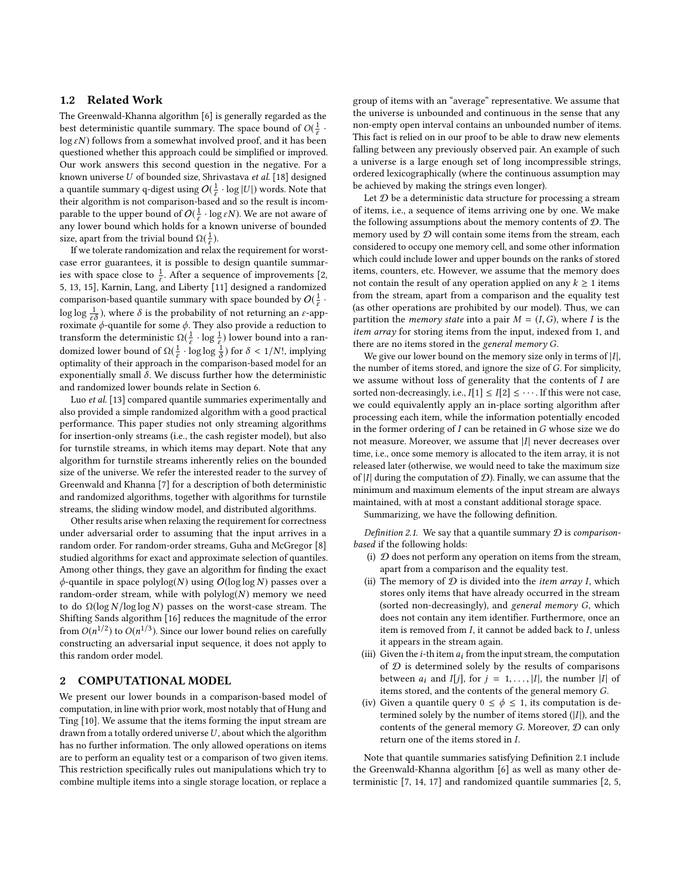## 1.2 Related Work

The Greenwald-Khanna algorithm [\[6\]](#page-12-0) is generally regarded as the best deterministic quantile summary. The space bound of  $O(\frac{1}{\epsilon})$  $\frac{1}{\varepsilon}$ .  $\log \varepsilon N$ ) follows from a somewhat involved proof, and it has been questioned whether this approach could be simplified or improved. Our work answers this second question in the negative. For a known universe U of bounded size, Shrivastava et al. [\[18\]](#page-12-8) designed a quantile summary q-digest using  $O(\frac{1}{\varepsilon} \cdot \log |U|)$  words. Note that their algorithm is not comparison-based and so the result is incomparable to the upper bound of  $O(\frac{1}{\varepsilon} \cdot \log \varepsilon N)$ . We are not aware of any lower bound which holds for a known universe of bounded size, apart from the trivial bound  $\Omega(\frac{1}{\varepsilon}))$ <br>If we tolerate randomization and rel  $\frac{1}{\varepsilon}$ ).

If we tolerate randomization and relax the requirement for worstcase error guarantees, it is possible to design quantile summaries with space close to  $\frac{1}{\epsilon}$ . After a sequence of improvements [\[2,](#page-12-9) [5,](#page-12-10) [13,](#page-12-11) [15\]](#page-12-12), Karnin, Lang, and Liberty [\[11\]](#page-12-13) designed a randomized comparison-based quantile summary with space bounded by  $O(\frac{1}{\varepsilon} \cdot$ log log  $\frac{1}{\varepsilon\delta}$ ), where  $\delta$  is the probability of not returning an  $\varepsilon$ -approximate  $\phi$ -quantile for some  $\phi$ . They also provide a reduction to transform the deterministic  $\Omega(\frac{1}{\varepsilon})$  $\frac{1}{\varepsilon} \cdot \log \frac{1}{\varepsilon}$ ) lower bound into a randomized lower bound of  $\Omega(\frac{1}{\varepsilon}))$  $\frac{1}{\varepsilon}$  · log log  $\frac{1}{\delta}$ ) for  $\delta < 1/N!$ , implying optimality of their approach in the comparison-based model for an exponentially small  $\delta$ . We discuss further how the deterministic and randomized lower bounds relate in Section [6.](#page-10-0)

Luo et al. [\[13\]](#page-12-11) compared quantile summaries experimentally and also provided a simple randomized algorithm with a good practical performance. This paper studies not only streaming algorithms for insertion-only streams (i.e., the cash register model), but also for turnstile streams, in which items may depart. Note that any algorithm for turnstile streams inherently relies on the bounded size of the universe. We refer the interested reader to the survey of Greenwald and Khanna [\[7\]](#page-12-14) for a description of both deterministic and randomized algorithms, together with algorithms for turnstile streams, the sliding window model, and distributed algorithms.

Other results arise when relaxing the requirement for correctness under adversarial order to assuming that the input arrives in a random order. For random-order streams, Guha and McGregor [\[8\]](#page-12-15) studied algorithms for exact and approximate selection of quantiles. Among other things, they gave an algorithm for finding the exact  $\phi$ -quantile in space polylog(N) using  $O(\log \log N)$  passes over a random-order stream, while with  $polylog(N)$  memory we need to do  $\Omega(\log N/\log \log N)$  passes on the worst-case stream. The Shifting Sands algorithm [\[16\]](#page-12-16) reduces the magnitude of the error from  $O(n^{1/2})$  to  $O(n^{1/3})$ . Since our lower bound relies on carefully constructing an adversarial input sequence, it does not apply to this random order model.

## <span id="page-2-0"></span>2 COMPUTATIONAL MODEL

We present our lower bounds in a comparison-based model of computation, in line with prior work, most notably that of Hung and Ting [\[10\]](#page-12-7). We assume that the items forming the input stream are drawn from a totally ordered universe  $U$ , about which the algorithm has no further information. The only allowed operations on items are to perform an equality test or a comparison of two given items. This restriction specifically rules out manipulations which try to combine multiple items into a single storage location, or replace a

group of items with an "average" representative. We assume that the universe is unbounded and continuous in the sense that any non-empty open interval contains an unbounded number of items. This fact is relied on in our proof to be able to draw new elements falling between any previously observed pair. An example of such a universe is a large enough set of long incompressible strings, ordered lexicographically (where the continuous assumption may be achieved by making the strings even longer).

Let  $D$  be a deterministic data structure for processing a stream of items, i.e., a sequence of items arriving one by one. We make the following assumptions about the memory contents of  $D$ . The memory used by  $D$  will contain some items from the stream, each considered to occupy one memory cell, and some other information which could include lower and upper bounds on the ranks of stored items, counters, etc. However, we assume that the memory does not contain the result of any operation applied on any  $k \geq 1$  items from the stream, apart from a comparison and the equality test (as other operations are prohibited by our model). Thus, we can partition the *memory state* into a pair  $M = (I, G)$ , where I is the item array for storing items from the input, indexed from 1, and there are no items stored in the general memory G.

We give our lower bound on the memory size only in terms of  $|I|$ , the number of items stored, and ignore the size of G. For simplicity, we assume without loss of generality that the contents of I are sorted non-decreasingly, i.e.,  $I[1] \leq I[2] \leq \cdots$ . If this were not case, we could equivalently apply an in-place sorting algorithm after processing each item, while the information potentially encoded in the former ordering of I can be retained in G whose size we do not measure. Moreover, we assume that  $|I|$  never decreases over time, i.e., once some memory is allocated to the item array, it is not released later (otherwise, we would need to take the maximum size of |I| during the computation of  $\mathcal{D}$ ). Finally, we can assume that the minimum and maximum elements of the input stream are always maintained, with at most a constant additional storage space.

Summarizing, we have the following definition.

<span id="page-2-1"></span>Definition 2.1. We say that a quantile summary  $D$  is comparisonbased if the following holds:

- (i)  $D$  does not perform any operation on items from the stream, apart from a comparison and the equality test.
- (ii) The memory of  $D$  is divided into the *item array I*, which stores only items that have already occurred in the stream (sorted non-decreasingly), and general memory G, which does not contain any item identifier. Furthermore, once an item is removed from  $I$ , it cannot be added back to  $I$ , unless it appears in the stream again.
- (iii) Given the *i*-th item  $a_i$  from the input stream, the computation of  $D$  is determined solely by the results of comparisons between  $a_i$  and  $I[j]$ , for  $j = 1, ..., |I|$ , the number |I| of items stored, and the contents of the general memory G.
- (iv) Given a quantile query  $0 \leq \phi \leq 1$ , its computation is determined solely by the number of items stored  $(|I|)$ , and the contents of the general memory  $G$ . Moreover,  $D$  can only return one of the items stored in I.

Note that quantile summaries satisfying Definition [2.1](#page-2-1) include the Greenwald-Khanna algorithm [\[6\]](#page-12-0) as well as many other deterministic [\[7,](#page-12-14) [14,](#page-12-5) [17\]](#page-12-2) and randomized quantile summaries [\[2,](#page-12-9) [5,](#page-12-10)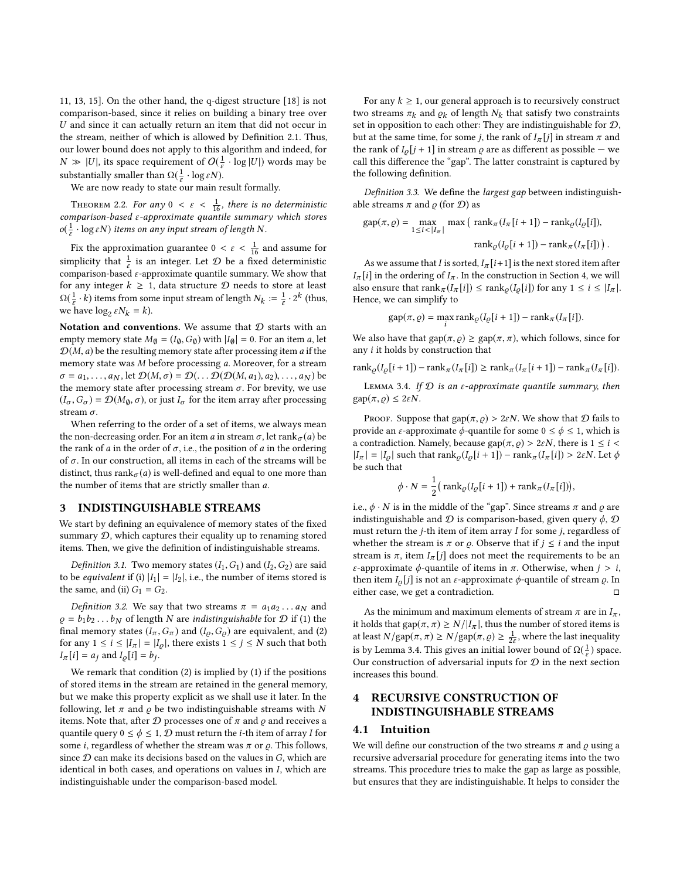[11,](#page-12-13) [13,](#page-12-11) [15\]](#page-12-12). On the other hand, the q-digest structure [\[18\]](#page-12-8) is not comparison-based, since it relies on building a binary tree over U and since it can actually return an item that did not occur in the stream, neither of which is allowed by Definition [2.1.](#page-2-1) Thus, our lower bound does not apply to this algorithm and indeed, for  $N \gg |U|$ , its space requirement of  $O(\frac{1}{\varepsilon} \cdot \log |U|)$  words may be substantially smaller than  $\Omega(\frac{1}{\varepsilon}))$ <br>We are now ready to state of  $\frac{1}{\varepsilon} \cdot \log \varepsilon N$ ).

We are now ready to state our main result formally.

<span id="page-3-4"></span>THEOREM 2.2. For any  $0 < \varepsilon < \frac{1}{16}$ , there is no deterministic<br>mparison-based s-approximate quantile summary which stores comparison-based ε-approximate quantile summary which stores  $o(\frac{1}{\epsilon})$  $\frac{1}{\varepsilon} \cdot \log \varepsilon N$ ) items on any input stream of length N.

Fix the approximation guarantee  $0 < \varepsilon < \frac{1}{16}$  and assume for existing that  $1 + \varepsilon$  is an integral of  $\Omega$  be a fixed deterministic simplicity that  $\frac{1}{\varepsilon}$  is an integer. Let  $\mathcal D$  be a fixed deterministic comparison-based  $\varepsilon$ -approximate quantile summary. We show that for any integer  $k \geq 1$ , data structure  $D$  needs to store at least  $\Omega(\frac{1}{\varepsilon})$  $\frac{1}{\varepsilon} \cdot k$ ) items from some input stream of length  $N_k := \frac{1}{\varepsilon}$  $\frac{1}{\varepsilon} \cdot 2^k$  (thus, we have  $\log_2 \varepsilon N_k = k$ ).

Notation and conventions. We assume that  $D$  starts with an empty memory state  $M_{\emptyset} = (I_{\emptyset}, G_{\emptyset})$  with  $|I_{\emptyset}| = 0$ . For an item a, let  $\mathcal{D}(M, a)$  be the resulting memory state after processing item a if the memory state was M before processing a. Moreover, for a stream  $\sigma = a_1, \ldots, a_N$ , let  $\mathcal{D}(M, \sigma) = \mathcal{D}(\ldots \mathcal{D}(\mathcal{D}(M, a_1), a_2), \ldots, a_N)$  be the memory state after processing stream  $\sigma$ . For brevity, we use  $(I_{\sigma}, G_{\sigma}) = \mathcal{D}(M_{\emptyset}, \sigma)$ , or just  $I_{\sigma}$  for the item array after processing stream  $\sigma$ .

When referring to the order of a set of items, we always mean the non-decreasing order. For an item a in stream  $\sigma$ , let rank $\sigma$ (a) be the rank of a in the order of  $\sigma$ , i.e., the position of a in the ordering of  $\sigma$ . In our construction, all items in each of the streams will be distinct, thus rank $\sigma$ (*a*) is well-defined and equal to one more than the number of items that are strictly smaller than a.

#### <span id="page-3-0"></span>3 INDISTINGUISHABLE STREAMS

We start by defining an equivalence of memory states of the fixed summary  $D$ , which captures their equality up to renaming stored items. Then, we give the definition of indistinguishable streams.

<span id="page-3-5"></span>*Definition 3.1.* Two memory states  $(I_1, G_1)$  and  $(I_2, G_2)$  are said to be *equivalent* if (i)  $|I_1| = |I_2|$ , i.e., the number of items stored is the same, and (ii)  $G_1 = G_2$ .

<span id="page-3-3"></span>Definition 3.2. We say that two streams  $\pi = a_1 a_2 \dots a_N$  and  $\rho = b_1 b_2 \dots b_N$  of length N are *indistinguishable* for  $\mathcal D$  if (1) the final memory states  $(I_{\pi}, G_{\pi})$  and  $(I_{\rho}, G_{\rho})$  are equivalent, and (2) for any  $1 \le i \le |I_{\pi}| = |I_{\varrho}|$ , there exists  $1 \le j \le N$  such that both  $I_{\pi}[i] = a_j$  and  $I_{\varrho}[i] = b_j$ .

We remark that condition (2) is implied by (1) if the positions of stored items in the stream are retained in the general memory, but we make this property explicit as we shall use it later. In the following, let  $\pi$  and  $\rho$  be two indistinguishable streams with N items. Note that, after  $D$  processes one of  $\pi$  and  $\rho$  and receives a quantile query  $0 \le \phi \le 1$ ,  $\mathcal{D}$  must return the *i*-th item of array *I* for some *i*, regardless of whether the stream was  $\pi$  or  $\rho$ . This follows, since  $D$  can make its decisions based on the values in  $G$ , which are identical in both cases, and operations on values in I, which are indistinguishable under the comparison-based model.

For any  $k \geq 1$ , our general approach is to recursively construct two streams  $\pi_k$  and  $\varrho_k$  of length  $N_k$  that satisfy two constraints set in opposition to each other: They are indistinguishable for D, but at the same time, for some *j*, the rank of  $I_{\pi}[j]$  in stream  $\pi$  and the rank of  $I_{\rho}[j+1]$  in stream  $\rho$  are as different as possible — we call this difference the "gap". The latter constraint is captured by the following definition.

Definition 3.3. We define the largest gap between indistinguishable streams  $\pi$  and  $\rho$  (for  $\mathcal{D}$ ) as

$$
gap(\pi, \varrho) = \max_{1 \le i < |I_{\pi}|} \max\left(\operatorname{rank}_{\pi}(I_{\pi}[i+1]) - \operatorname{rank}_{\varrho}(I_{\varrho}[i]),\right.\n\operatorname{rank}_{\varrho}(I_{\varrho}[i+1]) - \operatorname{rank}_{\pi}(I_{\pi}[i])\right).
$$

As we assume that I is sorted,  $I_{\pi}[i+1]$  is the next stored item after  $I_{\pi}[i]$  in the ordering of  $I_{\pi}$ . In the construction in Section [4,](#page-3-1) we will also ensure that  $\text{rank}_{\pi}(I_{\pi}[i]) \leq \text{rank}_{\rho}(I_{\rho}[i])$  for any  $1 \leq i \leq |I_{\pi}|$ . Hence, we can simplify to

$$
gap(\pi, \varrho) = \max_{i} rank_{\varrho}(I_{\varrho}[i+1]) - rank_{\pi}(I_{\pi}[i]).
$$

We also have that  $\text{gap}(\pi, \varrho) \geq \text{gap}(\pi, \pi)$ , which follows, since for any i it holds by construction that

$$
\operatorname{rank}_{\varrho}(I_{\varrho}[i+1]) - \operatorname{rank}_{\pi}(I_{\pi}[i]) \geq \operatorname{rank}_{\pi}(I_{\pi}[i+1]) - \operatorname{rank}_{\pi}(I_{\pi}[i]).
$$

<span id="page-3-2"></span>LEMMA 3.4. If  $D$  is an  $\varepsilon$ -approximate quantile summary, then gap $(\pi, \rho) \leq 2\varepsilon N$ .

PROOF. Suppose that gap $(\pi, \rho) > 2\varepsilon N$ . We show that  $\mathcal D$  fails to provide an *ε*-approximate  $φ$ -quantile for some  $0 \le φ \le 1$ , which is a contradiction. Namely, because gap $(\pi, \rho) > 2\varepsilon N$ , there is  $1 \leq i <$  $|I_{\pi}| = |I_{\rho}|$  such that rank $_{\rho}(I_{\rho}[i+1])$  – rank $_{\pi}(I_{\pi}[i]) > 2\varepsilon N$ . Let  $\phi$ be such that

$$
\phi \cdot N = \frac{1}{2} \big( \operatorname{rank}_{\varrho} (I_{\varrho}[i+1]) + \operatorname{rank}_{\pi} (I_{\pi}[i]) \big),
$$

i.e.,  $\phi \cdot N$  is in the middle of the "gap". Since streams  $\pi$  and  $\rho$  are indistinguishable and  $D$  is comparison-based, given query  $\phi$ ,  $D$ must return the  $j$ -th item of item array  $I$  for some  $j$ , regardless of whether the stream is  $\pi$  or  $\rho$ . Observe that if  $j \leq i$  and the input stream is  $\pi$ , item  $I_{\pi}[j]$  does not meet the requirements to be an ε-approximate  $φ$ -quantile of items in π. Otherwise, when  $j > i$ , then item  $I_{\rho}[j]$  is not an  $\varepsilon$ -approximate  $\phi$ -quantile of stream  $\rho$ . In either case, we get a contradiction.  $□$ 

As the minimum and maximum elements of stream  $\pi$  are in  $I_{\pi}$ , it holds that gap( $\pi$ ,  $\pi$ )  $\geq N/|I_{\pi}|$ , thus the number of stored items is at least  $N/\text{gap}(\pi, \pi) \geq N/\text{gap}(\pi, \varrho) \geq \frac{1}{2\epsilon}$ , where the last inequality<br>is by Laurence 2.4. This gives an initial laurent have defended in groups is by Lemma [3.4.](#page-3-2) This gives an initial lower bound of  $\Omega(\frac{1}{\epsilon})$  $\frac{1}{\varepsilon}$ ) space. Our construction of adversarial inputs for  $D$  in the next section increases this bound.

# <span id="page-3-1"></span>4 RECURSIVE CONSTRUCTION OF INDISTINGUISHABLE STREAMS

## 4.1 Intuition

We will define our construction of the two streams  $\pi$  and  $\rho$  using a recursive adversarial procedure for generating items into the two streams. This procedure tries to make the gap as large as possible, but ensures that they are indistinguishable. It helps to consider the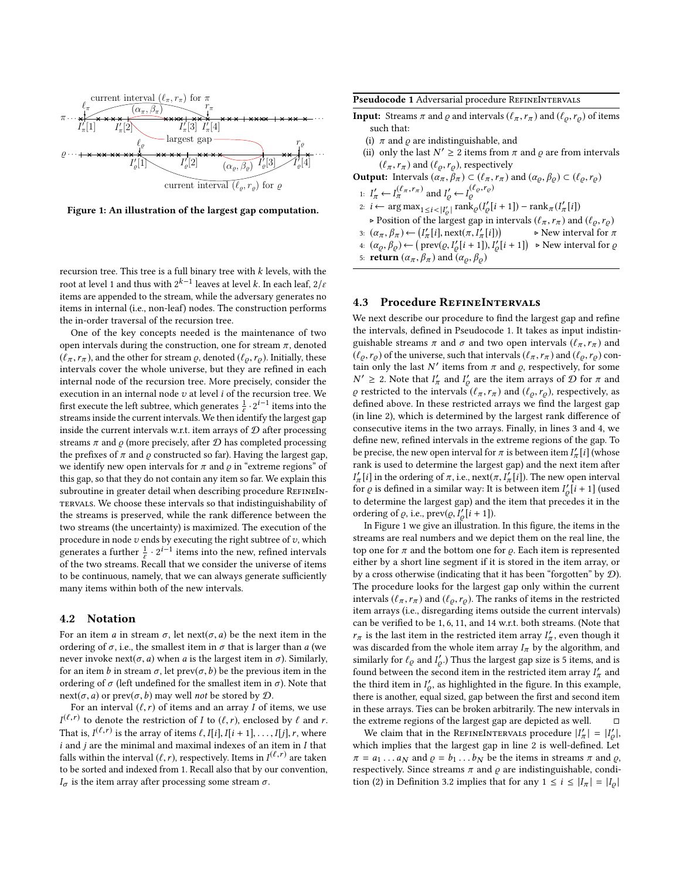<span id="page-4-2"></span>

Figure 1: An illustration of the largest gap computation.

recursion tree. This tree is a full binary tree with  $k$  levels, with the root at level 1 and thus with  $2^{k-1}$  leaves at level  $k$ . In each leaf,  $2/\varepsilon$ items are appended to the stream, while the adversary generates no items in internal (i.e., non-leaf) nodes. The construction performs the in-order traversal of the recursion tree.

One of the key concepts needed is the maintenance of two open intervals during the construction, one for stream  $\pi$ , denoted  $(\ell_{\pi}, r_{\pi})$ , and the other for stream  $\rho$ , denoted  $(\ell_{\rho}, r_{\rho})$ . Initially, these intervals cover the whole universe, but they are refined in each internal node of the recursion tree. More precisely, consider the execution in an internal node  $v$  at level  $i$  of the recursion tree. We first execute the left subtree, which generates  $\frac{1}{\varepsilon} \cdot 2^{i-1}$  items into the streams inside the current intervals. We then identify the largest gap inside the current intervals w.r.t. item arrays of  $D$  after processing streams  $\pi$  and  $\rho$  (more precisely, after  $\mathcal D$  has completed processing the prefixes of  $\pi$  and  $\rho$  constructed so far). Having the largest gap, we identify new open intervals for  $\pi$  and  $\rho$  in "extreme regions" of this gap, so that they do not contain any item so far. We explain this subroutine in greater detail when describing procedure REFINEINtervals. We choose these intervals so that indistinguishability of the streams is preserved, while the rank difference between the two streams (the uncertainty) is maximized. The execution of the procedure in node  $v$  ends by executing the right subtree of  $v$ , which generates a further  $\frac{1}{\varepsilon} \cdot 2^{i-1}$  items into the new, refined intervals of the two streams. Recall that we consider the universe of items to be continuous, namely, that we can always generate sufficiently many items within both of the new intervals.

#### 4.2 Notation

For an item a in stream  $\sigma$ , let next( $\sigma$ , a) be the next item in the ordering of  $\sigma$ , i.e., the smallest item in  $\sigma$  that is larger than a (we never invoke next(*σ*, *a*) when *a* is the largest item in *σ*). Similarly, for an item b in stream  $\sigma$ , let prev $(\sigma, b)$  be the previous item in the ordering of  $\sigma$  (left undefined for the smallest item in  $\sigma$ ). Note that next( $\sigma$ , a) or prev( $\sigma$ , b) may well not be stored by  $D$ .

For an interval  $(\ell, r)$  of items and an array I of items, we use  $I^{(\ell,r)}$  to denote the restriction of I to  $(\ell,r)$ , enclosed by  $\ell$  and  $r$ .<br>That is  $I^{(\ell,r)}$  is the array of items  $\ell$  II il II i 11 II il r where That is,  $I^{(\ell,r)}$  is the array of items  $\ell$ ,  $I[i]$ ,  $I[i+1]$ , ...,  $I[j]$ , r, where i and i are the minimal and maximal indexes of an item in I that  $i$  and  $j$  are the minimal and maximal indexes of an item in  $I$  that falls within the interval  $(\ell, r)$ , respectively. Items in  $I^{(\ell, r)}$  are taken<br>to be sorted and indexed from 1. Becall also that by our convention to be sorted and indexed from 1. Recall also that by our convention,  $I_{\sigma}$  is the item array after processing some stream  $\sigma$ .

<span id="page-4-0"></span>Pseudocode 1 Adversarial procedure REFINEINTERVALS

- **Input:** Streams  $\pi$  and  $\varrho$  and intervals  $(\ell_{\pi}, r_{\pi})$  and  $(\ell_{\varrho}, r_{\varrho})$  of items such that:
	- (i)  $\pi$  and  $\varrho$  are indistinguishable, and
	- (ii) only the last  $N' \ge 2$  items from  $\pi$  and  $\varrho$  are from intervals  $(\ell_{\pi}, r_{\pi})$  and  $(\ell_{\varrho}, r_{\varrho})$ , respectively
- <span id="page-4-1"></span>**Output:** Intervals  $(\alpha_{\pi}, \beta_{\pi}) \subset (\ell_{\pi}, r_{\pi})$  and  $(\alpha_{\varrho}, \beta_{\varrho}) \subset (\ell_{\varrho}, r_{\varrho})$ <br>
1:  $I'_{\pi} \leftarrow I_{\pi}^{(\ell_{\pi}, r_{\pi})}$  and  $I'_{\varrho} \leftarrow I_{\varrho}^{(\ell_{\varrho}, r_{\varrho})}$
- 2:  $i \leftarrow \arg \max_{1 \le i \le |I'_\text{e}|} \text{rank}_{\varrho}(I'_\text{e}[i+1]) \text{rank}_{\pi}(I'_\text{e}[i])$ <br>position of the lowest gap in intervals  $(\ell, \mathbf{r})$  and
- ▷ Position of the largest gap in intervals ( $\ell_{\pi}, r_{\pi}$ ) and ( $\ell_{\varrho}, r_{\varrho}$ ) 3:  $(\alpha_{\pi}, \beta_{\pi}) \leftarrow (I'_{\pi}[i], \text{next}(\pi, I'_{\pi}[i]))$ <br>4.  $(\alpha, \beta) \leftarrow (\text{prev}( \alpha, I' | i + 1) ) I'$  $\triangleright$  New interval for  $\pi$ 4:  $(\alpha_{\varrho}, \beta_{\varrho}) \leftarrow (\text{prev}(\varrho, I'_{\varrho}[i+1]), I'_{\varrho}[i+1]) \ge \text{New interval for } \varrho$
- 5: **return**  $(\alpha_{\pi}, \beta_{\pi})$  and  $(\alpha_{\rho}, \beta_{\rho})$

## 4.3 Procedure RefineIntervals

We next describe our procedure to find the largest gap and refine the intervals, defined in Pseudocode [1.](#page-4-0) It takes as input indistinguishable streams  $\pi$  and  $\sigma$  and two open intervals  $(\ell_{\pi}, r_{\pi})$  and  $(\ell_{\rho}, r_{\rho})$  of the universe, such that intervals  $(\ell_{\pi}, r_{\pi})$  and  $(\ell_{\rho}, r_{\rho})$  contain only the last N' items from  $\pi$  and  $\rho$ , respectively, for some  $N' \geq 2$ . Note that  $I'_\pi$  and  $I'_\varrho$  are the item arrays of  $\mathcal D$  for  $\pi$  and  $\rho$  restricted to the intervals  $(\ell_{\pi}, r_{\pi})$  and  $(\ell_{\rho}, r_{\rho})$ , respectively, as defined above. In these restricted arrays we find the largest gap (in line [2\)](#page-4-1), which is determined by the largest rank difference of consecutive items in the two arrays. Finally, in lines [3](#page-4-1) and [4,](#page-4-1) we define new, refined intervals in the extreme regions of the gap. To be precise, the new open interval for  $\pi$  is between item  $I'_\pi[i]$  (whose rank is used to determine the largest gap) and the next item after  $I'_\pi[i]$  in the ordering of π, i.e., next $(\pi, I'_\pi[i])$ . The new open interval<br>for a is defined in a similar way: It is between item  $I'[i+1]$  (used for  $\varrho$  is defined in a similar way: It is between item  $I'_{\varrho}[i+1]$  (used to determine the largest gap) and the item that precedes it in the ordering of  $\varrho$ , i.e., prev $(\varrho, I'_{\varrho}[i+1])$ .<br>In Figure 1 we give an illustration

In Figure [1](#page-4-2) we give an illustration. In this figure, the items in the streams are real numbers and we depict them on the real line, the top one for  $\pi$  and the bottom one for  $\rho$ . Each item is represented either by a short line segment if it is stored in the item array, or by a cross otherwise (indicating that it has been "forgotten" by D). The procedure looks for the largest gap only within the current intervals ( $\ell_{\pi}, r_{\pi}$ ) and ( $\ell_{\rho}, r_{\rho}$ ). The ranks of items in the restricted item arrays (i.e., disregarding items outside the current intervals) can be verified to be <sup>1</sup>, <sup>6</sup>, <sup>11</sup>, and <sup>14</sup> w.r.t. both streams. (Note that  $r_\pi$  is the last item in the restricted item array  $I'_\pi,$  even though it was discarded from the whole item array  $I_{\pi}$  by the algorithm, and similarly for  $\ell_{\varrho}$  and  $I'_{\varrho}$ .) Thus the largest gap size is 5 items, and is<br>found between the second item in the restricted item error  $I'$ , and found between the second item in the restricted item array  $I'_\pi$  and the third item in  $I'_{\rho}$ , as highlighted in the figure. In this example, there is another, equal sized, gap between the first and second item in these arrays. Ties can be broken arbitrarily. The new intervals in the extreme regions of the largest gap are depicted as well.  $□$ 

We claim that in the REFINEINTERVALS procedure  $|I'_\n\pi| = |I'_\n\rho|$ , which implies that the largest gap in line [2](#page-4-1) is well-defined. Let  $\pi = a_1 \dots a_N$  and  $\rho = b_1 \dots b_N$  be the items in streams  $\pi$  and  $\rho$ , respectively. Since streams  $\pi$  and  $\rho$  are indistinguishable, condi-tion (2) in Definition [3.2](#page-3-3) implies that for any  $1 \le i \le |I_{\pi}| = |I_{\rho}|$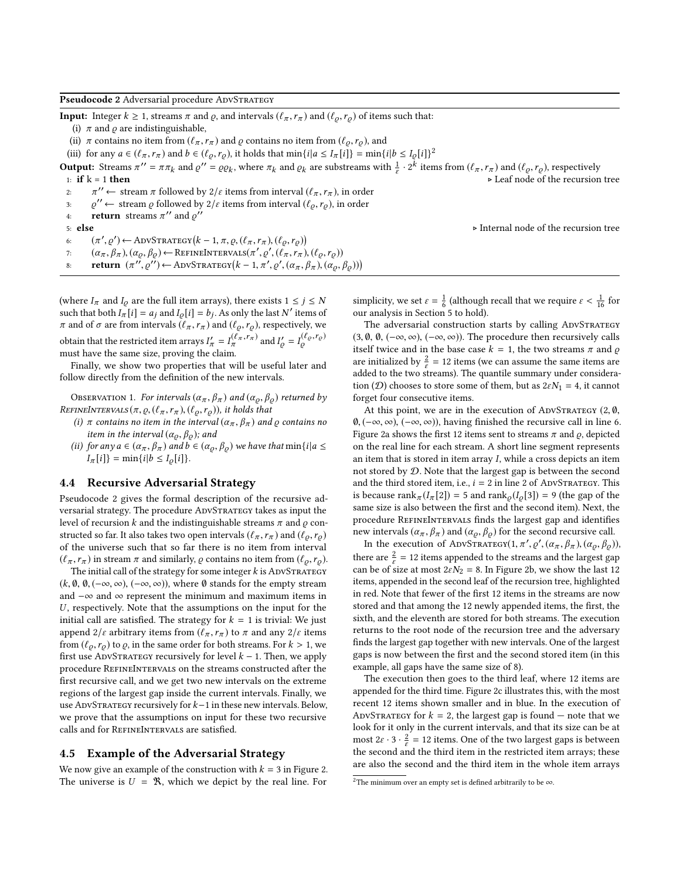<span id="page-5-1"></span>Pseudocode 2 Adversarial procedure ADVSTRATEGY

**Input:** Integer  $k \ge 1$ , streams  $\pi$  and  $\varrho$ , and intervals  $(\ell_{\pi}, r_{\pi})$  and  $(\ell_{\varrho}, r_{\varrho})$  of items such that:

(i)  $\pi$  and  $\rho$  are indistinguishable,

(ii)  $\pi$  contains no item from  $(\ell_{\pi}, r_{\pi})$  and  $\rho$  contains no item from  $(\ell_{\rho}, r_{\rho})$ , and

<span id="page-5-2"></span>(iii) for any  $a \in (\ell_\pi, r_\pi)$  and  $b \in (\ell_\rho, r_\rho)$ , it holds that  $\min\{i | a \le I_\pi[i]\} = \min\{i | b \le I_\rho[i]\}^2$  $\min\{i | a \le I_\pi[i]\} = \min\{i | b \le I_\rho[i]\}^2$ 

**Output:** Streams  $\pi'' = \pi \pi_k$  and  $\varrho'' = \varrho \varrho_k$ , where  $\pi_k$  and  $\varrho_k$  are substreams with  $\frac{1}{\varepsilon} \cdot 2^k$  items from  $(\ell_\pi, r_\pi)$  and  $(\ell_\varrho, r_\varrho)$ , respectively 1: if k = 1 then <br>
2:  $\pi'' \leftarrow$  stream  $\pi$  followed by  $2/\varepsilon$  items from interval  $(\ell_{\pi}, r_{\pi})$ , in order<br>
2:  $\alpha'' \leftarrow$  stream a followed by  $2/\varepsilon$  items from interval  $(\ell_{\pi}, r_{\pi})$ , in order

- 
- 3:  $\varrho'' \leftarrow$  stream  $\varrho$  followed by  $2/\varepsilon$  items from interval  $(\ell_{\varrho}, r_{\varrho})$ , in order
- 4: **return** streams  $\pi''$  and  $\varrho''$
- 

5: **else**<br>  $\alpha$   $(\pi', \varrho') \leftarrow \text{ADVStrATEGV}(k - 1, \pi, \varrho, (\ell_\pi, r_\pi), (\ell_\varrho, r_\varrho))$ <br>  $\alpha$   $(\alpha, \beta)$   $(\alpha, \beta)$   $\leftarrow$  PEENEDITERVALS(π'  $\alpha'$  ( $\ell$ , π) ( $\ell$ , π)

- 7:  $(\alpha_{\pi}, \beta_{\pi}), (\alpha_{\varrho}, \beta_{\varrho}) \leftarrow \text{REFINTERVALS}(\pi', \varrho', (\ell_{\pi}, r_{\pi}), (\ell_{\varrho}, r_{\varrho}))$
- 8: return  $(\pi'', \varrho'') \leftarrow \text{ADVStr}(\kappa 1, \pi', \varrho', (\alpha_{\pi}, \beta_{\pi}), (\alpha_{\varrho}, \beta_{\varrho}))$

(where  $I_{\pi}$  and  $I_{\rho}$  are the full item arrays), there exists  $1 \le j \le N$ such that both  $I_{\pi}[i] = a_j$  and  $I_{\varrho}[i] = b_j$ . As only the last N' items of  $\pi$  and of  $\sigma$  are from intervals  $(\ell_\pi,r_\pi)$  and  $(\ell_\varrho,r_\varrho),$  respectively, we obtain that the restricted item arrays  $I'_\pi = I^{(\ell_\pi, r_\pi)}_\pi$  and  $I'_\varrho = I^{(\ell_\varrho, r_\varrho)}_\varrho$ must have the same size, proving the claim.

Finally, we show two properties that will be useful later and follow directly from the definition of the new intervals.

<span id="page-5-3"></span>OBSERVATION 1. For intervals  $(\alpha_{\pi}, \beta_{\pi})$  and  $(\alpha_{\rho}, \beta_{\rho})$  returned by REFINEINTERVALS $(\pi, \varrho, (\ell_\pi, r_\pi), (\ell_\varrho, r_\varrho))$ , it holds that

- (i)  $\pi$  contains no item in the interval  $(\alpha_{\pi}, \beta_{\pi})$  and  $\varrho$  contains no item in the interval  $(\alpha_{\rho}, \beta_{\rho})$ ; and
- (ii) for any  $a \in (\alpha_{\pi}, \beta_{\pi})$  and  $b \in (\alpha_{\varrho}, \beta_{\varrho})$  we have that  $\min\{i | a \leq \varrho\}$  $I_{\pi}[i]$ } = min{ $i|b \leq I_{\varrho}[i]$ }.

#### 4.4 Recursive Adversarial Strategy

Pseudocode [2](#page-5-1) gives the formal description of the recursive adversarial strategy. The procedure ADVSTRATEGY takes as input the level of recursion k and the indistinguishable streams  $\pi$  and  $\rho$  constructed so far. It also takes two open intervals ( $\ell_{\pi}, r_{\pi}$ ) and ( $\ell_{\rho}, r_{\rho}$ ) of the universe such that so far there is no item from interval  $(\ell_{\pi}, r_{\pi})$  in stream  $\pi$  and similarly,  $\rho$  contains no item from  $(\ell_{\rho}, r_{\rho})$ .

The initial call of the strategy for some integer  $k$  is ADVSTRATEGY  $(k, \emptyset, \emptyset, (-\infty, \infty), (-\infty, \infty))$ , where  $\emptyset$  stands for the empty stream and −∞ and ∞ represent the minimum and maximum items in  $U$ , respectively. Note that the assumptions on the input for the initial call are satisfied. The strategy for  $k = 1$  is trivial: We just append  $2/\varepsilon$  arbitrary items from  $(\ell_\pi, r_\pi)$  to  $\pi$  and any  $2/\varepsilon$  items from  $(\ell_{\rho}, r_{\rho})$  to  $\rho$ , in the same order for both streams. For  $k > 1$ , we first use ADVSTRATEGY recursively for level  $k - 1$ . Then, we apply procedure REFINEINTERVALS on the streams constructed after the first recursive call, and we get two new intervals on the extreme regions of the largest gap inside the current intervals. Finally, we use AdvStrategy recursively for k−1 in these new intervals. Below, we prove that the assumptions on input for these two recursive calls and for REFINEINTERVALS are satisfied.

#### 4.5 Example of the Adversarial Strategy

We now give an example of the construction with  $k = 3$  in Figure [2.](#page-6-0) The universe is  $U = \mathcal{R}$ , which we depict by the real line. For

simplicity, we set  $\varepsilon = \frac{1}{6}$  (although recall that we require  $\varepsilon < \frac{1}{16}$  for our analysis in Section 5 to hold). our analysis in Section [5](#page-7-0) to hold).

The adversarial construction starts by calling ADVSTRATEGY  $(3, \emptyset, \emptyset, (-\infty, \infty), (-\infty, \infty))$ . The procedure then recursively calls itself twice and in the base case  $k = 1$ , the two streams  $\pi$  and  $\rho$ are initialized by  $\frac{2}{\varepsilon} = 12$  items (we can assume the same items are added to the two streams). The quantile summary under consideration (*D*) chooses to store some of them, but as  $2\varepsilon N_1 = 4$ , it cannot forget four consecutive items.

At this point, we are in the execution of ADVSTRATEGY  $(2, \emptyset)$ , <sup>∅</sup>, (−∞, ∞), (−∞, ∞)), having finished the recursive call in line [6.](#page-5-2) Figure [2a](#page-6-0) shows the first 12 items sent to streams  $\pi$  and  $\rho$ , depicted on the real line for each stream. A short line segment represents an item that is stored in item array  $I$ , while a cross depicts an item not stored by D. Note that the largest gap is between the second and the third stored item, i.e.,  $i = 2$  $i = 2$  in line 2 of ADVSTRATEGY. This is because rank $\pi(I_{\pi}[2]) = 5$  and rank $\rho(I_{\rho}[3]) = 9$  (the gap of the same size is also between the first and the second item). Next, the procedure REFINEINTERVALS finds the largest gap and identifies new intervals ( $\alpha_{\pi}, \beta_{\pi}$ ) and ( $\alpha_{\rho}, \beta_{\rho}$ ) for the second recursive call.

In the execution of ADVSTRATEGY $(1, \pi', \varrho', (\alpha_{\pi}, \beta_{\pi}), (\alpha_{\varrho}, \beta_{\varrho}))$ , there are  $\frac{2}{\varepsilon}$  = 12 items appended to the streams and the largest gap can be of size at most  $2\varepsilon N_2 = 8$ . In Figure [2b,](#page-6-0) we show the last 12 items, appended in the second leaf of the recursion tree, highlighted in red. Note that fewer of the first 12 items in the streams are now stored and that among the 12 newly appended items, the first, the sixth, and the eleventh are stored for both streams. The execution returns to the root node of the recursion tree and the adversary finds the largest gap together with new intervals. One of the largest gaps is now between the first and the second stored item (in this example, all gaps have the same size of 8).

The execution then goes to the third leaf, where 12 items are appended for the third time. Figure [2c](#page-6-0) illustrates this, with the most recent 12 items shown smaller and in blue. In the execution of ADVSTRATEGY for  $k = 2$ , the largest gap is found – note that we look for it only in the current intervals, and that its size can be at most  $2\varepsilon \cdot 3 \cdot \frac{2}{\varepsilon}$  $\frac{2}{\varepsilon}$  = 12 items. One of the two largest gaps is between the second and the third item in the restricted item arrays; these are also the second and the third item in the whole item arrays

<span id="page-5-0"></span><sup>&</sup>lt;sup>2</sup>The minimum over an empty set is defined arbitrarily to be  $\infty$ .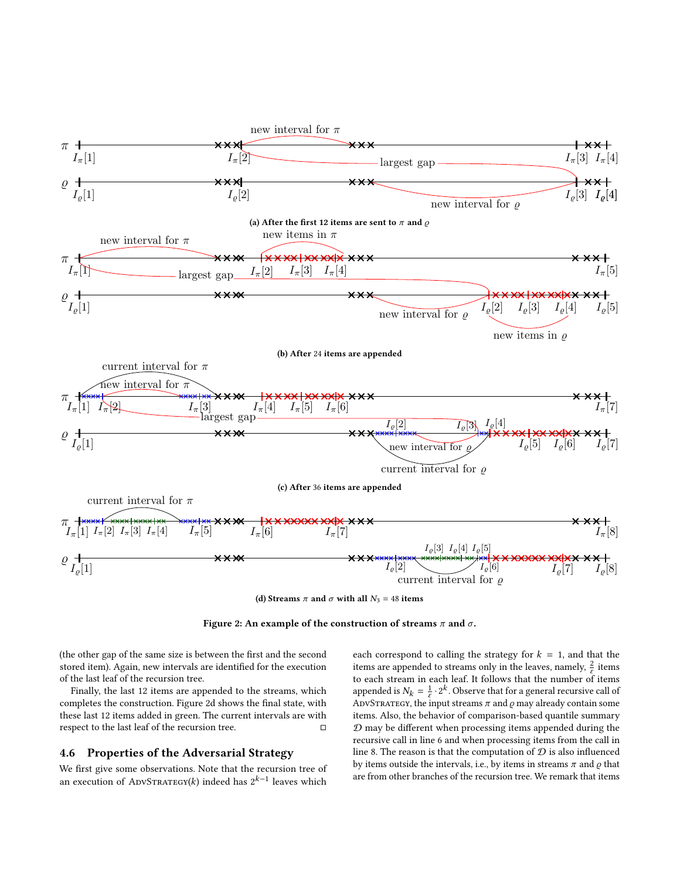<span id="page-6-0"></span>

(d) Streams  $\pi$  and  $\sigma$  with all  $N_3$  = 48 items

Figure 2: An example of the construction of streams  $\pi$  and  $\sigma$ .

(the other gap of the same size is between the first and the second stored item). Again, new intervals are identified for the execution of the last leaf of the recursion tree.

Finally, the last 12 items are appended to the streams, which completes the construction. Figure [2d](#page-6-0) shows the final state, with these last 12 items added in green. The current intervals are with respect to the last leaf of the recursion tree.  $□$ 

## 4.6 Properties of the Adversarial Strategy

We first give some observations. Note that the recursion tree of an execution of ADVSTRATEGY(k) indeed has  $2^{k-1}$  leaves which

each correspond to calling the strategy for  $k = 1$ , and that the items are appended to streams only in the leaves, namely,  $\frac{2}{\varepsilon}$  items to each stream in each leaf. It follows that the number of items appended is  $N_k = \frac{1}{\varepsilon}$  $\frac{1}{\varepsilon} \cdot 2^k$ . Observe that for a general recursive call of ADVSTRATEGY, the input streams  $\pi$  and  $\rho$  may already contain some items. Also, the behavior of comparison-based quantile summary  $D$  may be different when processing items appended during the recursive call in line [6](#page-5-2) and when processing items from the call in line [8.](#page-5-2) The reason is that the computation of  $\mathcal D$  is also influenced by items outside the intervals, i.e., by items in streams  $\pi$  and  $\rho$  that are from other branches of the recursion tree. We remark that items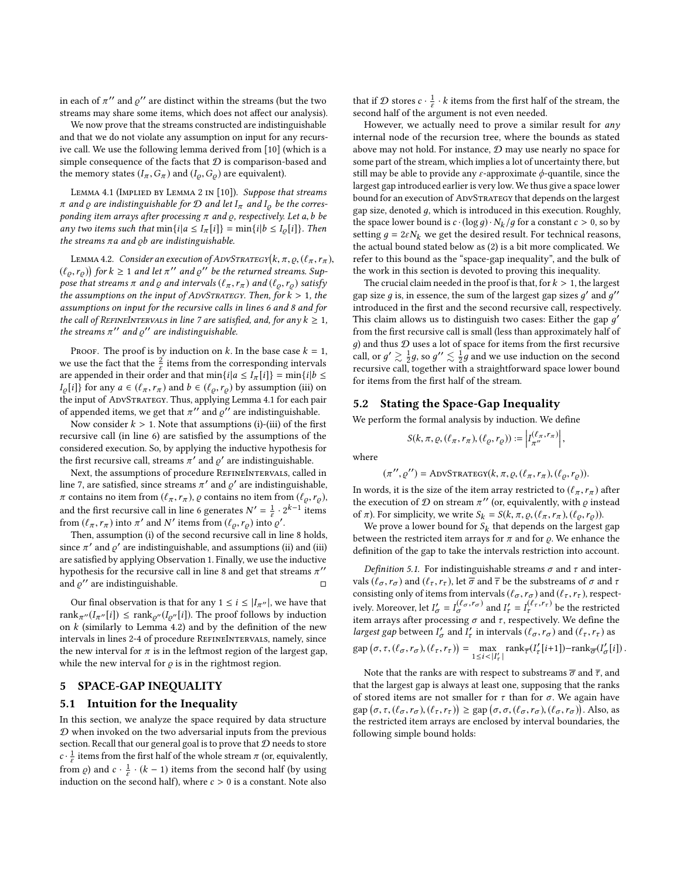in each of  $\pi^{\prime\prime}$  and  $\varrho^{\prime\prime}$  are distinct within the streams (but the two streams may share some items, which does not affect our analysis).

We now prove that the streams constructed are indistinguishable and that we do not violate any assumption on input for any recursive call. We use the following lemma derived from [\[10\]](#page-12-7) (which is a simple consequence of the facts that  $D$  is comparison-based and the memory states  $(I_{\pi}, G_{\pi})$  and  $(I_{\rho}, G_{\rho})$  are equivalent).

<span id="page-7-1"></span>LEMMA 4.1 (IMPLIED BY LEMMA 2 IN [\[10\]](#page-12-7)). Suppose that streams  $π$  and  $ρ$  are indistinguishable for  $D$  and let  $I_π$  and  $I_ω$  be the corresponding item arrays after processing  $\pi$  and  $\rho$ , respectively. Let a, b be any two items such that  $\min\{i|a \leq I_{\pi}[i]\} = \min\{i|b \leq I_{\varrho}[i]\}$ . Then the streams  $\pi a$  and  $\varphi b$  are indistinguishable.

<span id="page-7-2"></span>LEMMA 4.2. Consider an execution of ADVSTRATEGY( $k, \pi, \varrho, (\ell_\pi, r_\pi)$ , r, ), for  $k > 1$  and let  $\pi''$ , and o'' be the returned streams. Sup- $(\ell_{\varrho}, r_{\varrho})$  for  $k \ge 1$  and let  $\pi''$  and  $\varrho''$  be the returned streams. Sup-<br>pose that streams  $\pi$  and  $\varrho$  and intervals  $(\ell - r_+)$  and  $(\ell - r_+)$  satisfy pose that streams  $\pi$  and  $\varrho$  and intervals  $(\ell_{\pi}, r_{\pi})$  and  $(\ell_{\varrho}, r_{\varrho})$  satisfy the assumptions on the input of ADVSTRATEGY. Then, for  $k > 1$ , the assumptions on input for the recursive calls in lines [6](#page-5-2) and [8](#page-5-2) and for the call of REFINEINTERVALS in line [7](#page-5-2) are satisfied, and, for any  $k \geq 1$ , the streams  $\pi^{\prime\prime}$  and  $\varrho^{\prime\prime}$  are indistinguishable.

PROOF. The proof is by induction on k. In the base case  $k = 1$ , we use the fact that the  $\frac{2}{\varepsilon}$  items from the corresponding intervals are appended in their order and that  $\min\{i|a \le I_{\pi}[i]\} = \min\{i|b \le$  $I_{\varrho}[i]$ } for any  $a \in (\ell_{\pi}, r_{\pi})$  and  $b \in (\ell_{\varrho}, r_{\varrho})$  by assumption (iii) on the input of ADVSTRATEGY. Thus, applying Lemma [4.1](#page-7-1) for each pair of appended items, we get that  $\pi''$  and  $\varrho''$  are indistinguishable.

Now consider  $k > 1$ . Note that assumptions (i)-(iii) of the first recursive call (in line [6\)](#page-5-2) are satisfied by the assumptions of the considered execution. So, by applying the inductive hypothesis for the first recursive call, streams  $\pi'$  and  $\rho'$  are indistinguishable.

Next, the assumptions of procedure REFINEINTERVALS, called in line [7,](#page-5-2) are satisfied, since streams  $\pi'$  and  $\varrho'$  are indistinguishable,  $\pi$  contains no item from  $(\ell_{\pi}, r_{\pi})$ ,  $\rho$  contains no item from  $(\ell_{\rho}, r_{\rho})$ , and the first recursive call in line [6](#page-5-2) generates  $N' = \frac{1}{s}$  $\frac{1}{\varepsilon} \cdot 2^{k-1}$  items from  $(\ell_{\pi}, r_{\pi})$  into  $\pi'$  and N' items from  $(\ell_{\varrho}, r_{\varrho})$  into  $\varrho'$ .<br>Then assumption (i) of the second recursive call in li

Then, assumption (i) of the second recursive call in line [8](#page-5-2) holds, since  $\pi'$  and  $\varrho'$  are indistinguishable, and assumptions (ii) and (iii) are satisfied by applying Observation [1.](#page-5-3) Finally, we use the inductive hypothesis for the recursive call in line [8](#page-5-2) and get that streams  $\pi$ " and  $\varrho''$  are indistinguishable.  $\Box$ 

Our final observation is that for any  $1 \le i \le |I_{\pi''}|$ , we have that rank<sub> $\pi''(I_{\pi''}[i]) \leq \text{rank}_{\mathcal{Q}''}(I_{\mathcal{Q}''}[i])$ . The proof follows by induction</sub> on  $k$  (similarly to Lemma [4.2\)](#page-7-2) and by the definition of the new intervals in lines [2-4](#page-4-1) of procedure REFINEINTERVALS, namely, since the new interval for  $\pi$  is in the leftmost region of the largest gap, while the new interval for  $\rho$  is in the rightmost region.

## <span id="page-7-0"></span>5 SPACE-GAP INEQUALITY

### 5.1 Intuition for the Inequality

In this section, we analyze the space required by data structure  $D$  when invoked on the two adversarial inputs from the previous section. Recall that our general goal is to prove that  $D$  needs to store  $c \cdot \frac{1}{e}$  $\frac{1}{\varepsilon}$  items from the first half of the whole stream  $\pi$  (or, equivalently, from  $\rho$ ) and  $c \cdot \frac{1}{\varepsilon}$  $\frac{1}{\varepsilon} \cdot (k-1)$  items from the second half (by using induction on the second half), where  $c > 0$  is a constant. Note also

that if  $\mathcal D$  stores  $c \cdot \frac{1}{c}$  $\frac{1}{\varepsilon} \cdot k$  items from the first half of the stream, the second half of the argument is not even needed.

However, we actually need to prove a similar result for *any* internal node of the recursion tree, where the bounds as stated above may not hold. For instance, D may use nearly no space for some part of the stream, which implies a lot of uncertainty there, but still may be able to provide any  $\varepsilon$ -approximate  $\phi$ -quantile, since the largest gap introduced earlier is very low. We thus give a space lower bound for an execution of ADVSTRATEGY that depends on the largest gap size, denoted  $q$ , which is introduced in this execution. Roughly, the space lower bound is  $c \cdot (\log q) \cdot N_k / q$  for a constant  $c > 0$ , so by setting  $q = 2\varepsilon N_k$  we get the desired result. For technical reasons, the actual bound stated below as [\(2\)](#page-8-0) is a bit more complicated. We refer to this bound as the "space-gap inequality", and the bulk of the work in this section is devoted to proving this inequality.

The crucial claim needed in the proof is that, for  $k > 1$ , the largest gap size g is, in essence, the sum of the largest gap sizes  $g'$  and  $g''$ introduced in the first and the second recursive call, respectively. This claim allows us to distinguish two cases: Either the gap  $g'$ from the first recursive call is small (less than approximately half of  $g$ ) and thus  $D$  uses a lot of space for items from the first recursive call, or  $g' \gtrsim \frac{1}{2} g$ , so  $g'' \lesssim \frac{1}{2} g$  and we use induction on the second recursive call, together with a straightforward space lower bound for items from the first half of the stream.

#### 5.2 Stating the Space-Gap Inequality

We perform the formal analysis by induction. We define

$$
S(k, \pi, \varrho, (\ell_{\pi}, r_{\pi}), (\ell_{\varrho}, r_{\varrho})) := \left| I_{\pi''}^{(\ell_{\pi}, r_{\pi})} \right|,
$$

where

$$
(\pi'', \varrho'') = \text{ADVStrartacy}(k, \pi, \varrho, (\ell_\pi, r_\pi), (\ell_\varrho, r_\varrho)).
$$

In words, it is the size of the item array restricted to  $(\ell_{\pi}, r_{\pi})$  after the execution of  $D$  on stream  $\pi$ " (or, equivalently, with  $\rho$  instead of  $\pi$ ). For simplicity, we write  $S_k = S(k, \pi, \varrho, (\ell_\pi, r_\pi), (\ell_\varrho, r_\varrho))$ .

We prove a lower bound for  $S_k$  that depends on the largest gap between the restricted item arrays for  $\pi$  and for  $\rho$ . We enhance the definition of the gap to take the intervals restriction into account.

Definition 5.1. For indistinguishable streams  $\sigma$  and  $\tau$  and intervals ( $\ell_{\sigma}, r_{\sigma}$ ) and ( $\ell_{\tau}, r_{\tau}$ ), let  $\overline{\sigma}$  and  $\overline{\tau}$  be the substreams of  $\sigma$  and  $\tau$ consisting only of items from intervals  $(\ell_\sigma, r_\sigma)$  and  $(\ell_\tau, r_\tau)$  , respectively. Moreover, let  $I'_{\sigma} = I_{\sigma}^{(\ell_{\sigma}, r_{\sigma})}$  and  $I'_{\tau} = I_{\tau}^{(\ell_{\tau}, r_{\tau})}$  be the restricted item arrays after processing  $\sigma$  and  $\tau$ , respectively. We define the largest gap between  $I'_\sigma$  and  $I'_\tau$  in intervals  $(\ell_\sigma, r_\sigma)$  and  $(\ell_\tau, r_\tau)$  as  $\text{gap}(\sigma, \tau, (\ell_{\sigma}, r_{\sigma}), (\ell_{\tau}, r_{\tau})) = \max_{1 \leq i \leq l}$ max rank $_{\overline{\tau}}(I'_{\tau}[i+1])$ -rank $_{\overline{\sigma}}(I'_{\sigma}[i])$ . |

Note that the ranks are with respect to substreams  $\bar{\sigma}$  and  $\bar{\tau}$ , and that the largest gap is always at least one, supposing that the ranks of stored items are not smaller for  $\tau$  than for  $\sigma$ . We again have gap  $(\sigma, \tau, (\ell_{\sigma}, r_{\sigma}), (\ell_{\tau}, r_{\tau})) \ge$  gap  $(\sigma, \sigma, (\ell_{\sigma}, r_{\sigma}), (\ell_{\sigma}, r_{\sigma}))$ . Also, as the restricted item arrays are enclosed by interval boundaries, the following simple bound holds: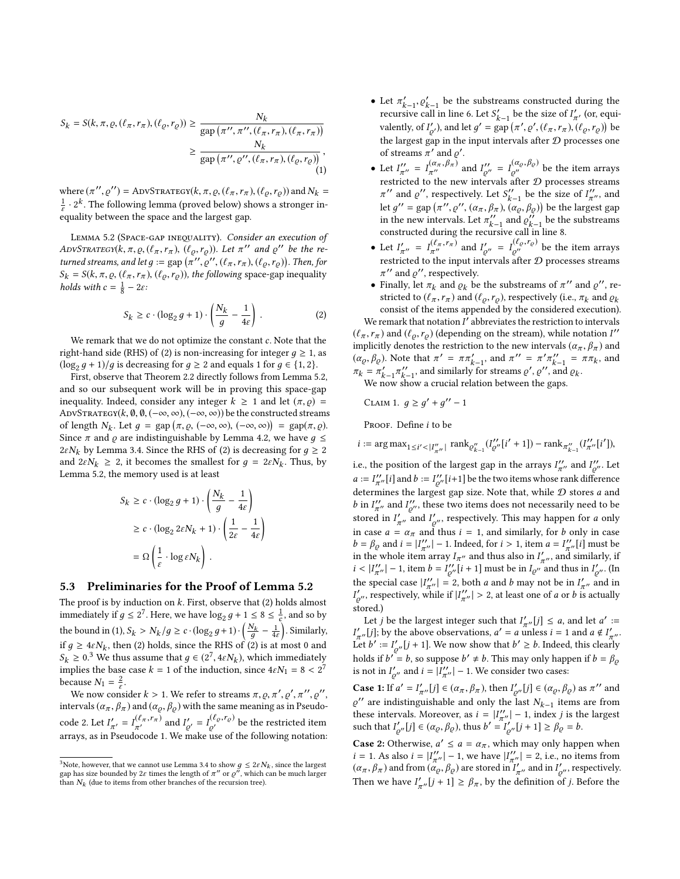$$
S_k = S(k, \pi, \varrho, (\ell_\pi, r_\pi), (\ell_\varrho, r_\varrho)) \ge \frac{N_k}{\text{gap}(\pi'', \pi'', (\ell_\pi, r_\pi), (\ell_\pi, r_\pi))}
$$

$$
\ge \frac{N_k}{\text{gap}(\pi'', \varrho'', (\ell_\pi, r_\pi), (\ell_\varrho, r_\varrho))},
$$
(1)

where  $(\pi'', \varrho'') = \text{ADVSTRATEGY}(k, \pi, \varrho, (\ell_{\pi}, r_{\pi}), (\ell_{\varrho}, r_{\varrho}))$  and  $N_k = 1$ , ok. The following language (ground holomy of the group of the ground in 1  $\frac{1}{\varepsilon} \cdot 2^k$  . The following lemma (proved below) shows a stronger inequality between the space and the largest gap.

<span id="page-8-1"></span>LEMMA 5.2 (SPACE-GAP INEQUALITY). Consider an execution of ADVSTRATEGY( $k, \pi, \varrho, (\ell_{\pi}, r_{\pi}), (\ell_{\varrho}, r_{\varrho})$ ). Let  $\pi''$  and  $\varrho''$  be the re-<br>turned streams and let  $\varrho = \text{sgn}(\pi'' \varrho''(\ell - r_{\varrho}))$  ( $\ell - r_{\varrho}$ )). Then for turned streams, and let  $g := \text{gap}(\pi'', \varrho'', (\ell_\pi, r_\pi), (\ell_\varrho, r_\varrho))$ . Then, for  $S_1 = S(k_\pi, \varrho, (\ell_\pi, r_\pi), (\ell_\pi, r_\pi))$  the following space-gap inequality  $S_k = S(k, \pi, \varrho, (\ell_\pi, r_\pi), (\ell_\varrho, r_\varrho))$ , the following space-gap inequality holds with  $c = \frac{1}{8} - 2\varepsilon$ :

<span id="page-8-0"></span>
$$
S_k \ge c \cdot (\log_2 g + 1) \cdot \left(\frac{N_k}{g} - \frac{1}{4\varepsilon}\right). \tag{2}
$$

We remark that we do not optimize the constant  $c$ . Note that the right-hand side (RHS) of [\(2\)](#page-8-0) is non-increasing for integer  $q \ge 1$ , as  $(\log_2 g + 1)/g$  is decreasing for  $g \ge 2$  and equals 1 for  $g \in \{1, 2\}$ .<br>First, observe that Theorem 2.2 directly follows from Lemma 5

First, observe that Theorem [2.2](#page-3-4) directly follows from Lemma [5.2,](#page-8-1) and so our subsequent work will be in proving this space-gap inequality. Indeed, consider any integer  $k \ge 1$  and let  $(\pi, \rho)$  = ADVSTRATEGY( $k$ ,  $\emptyset$ ,  $\emptyset$ ,  $(-\infty, \infty)$ ,  $(-\infty, \infty)$ ) be the constructed streams of length  $N_k$ . Let  $g = \text{gap}(\pi, \rho, (-\infty, \infty), (-\infty, \infty)) = \text{gap}(\pi, \rho)$ .<br>Since  $\pi$  and o are indistinguishable by Lemma 4.2, we have  $a \leq$ Since  $\pi$  and  $\rho$  are indistinguishable by Lemma [4.2,](#page-7-2) we have  $q \leq$ 2 $\varepsilon N_k$  by Lemma [3.4.](#page-3-2) Since the RHS of [\(2\)](#page-8-0) is decreasing for  $g \geq 2$ and  $2\varepsilon N_k \geq 2$ , it becomes the smallest for  $g = 2\varepsilon N_k$ . Thus, by Lemma [5.2,](#page-8-1) the memory used is at least

$$
S_k \ge c \cdot (\log_2 g + 1) \cdot \left(\frac{N_k}{g} - \frac{1}{4\varepsilon}\right)
$$
  
 
$$
\ge c \cdot (\log_2 2\varepsilon N_k + 1) \cdot \left(\frac{1}{2\varepsilon} - \frac{1}{4\varepsilon}\right)
$$
  

$$
= \Omega \left(\frac{1}{\varepsilon} \cdot \log \varepsilon N_k\right).
$$

## 5.3 Preliminaries for the Proof of Lemma [5.2](#page-8-1)

The proof is by induction on  $k$ . First, observe that [\(2\)](#page-8-0) holds almost immediately if  $g \le 2^7$ . Here, we have  $\log_2 g + 1 \le 8 \le \frac{1}{6}$  $\frac{1}{c}$ , and so by the bound in [\(1\)](#page-8-2),  $S_k > N_k/g \ge c \cdot (\log_2 g + 1) \cdot \left(\frac{N_k}{g} - \frac{1}{4\varepsilon}\right)$ . Similarly, if  $g \ge 4\varepsilon N_k$ , then [\(2\)](#page-8-0) holds, since the RHS of (2) is at most 0 and  $S_k \ge 0.3$  $S_k \ge 0.3$  We thus assume that  $g \in (2^7, 4\epsilon N_k)$ , which immediately implies the base case  $k - 1$  of the induction since  $4\epsilon N_k - 8 \le 2^7$ . implies the base case  $k = 1$  of the induction, since  $4\varepsilon N_1 = 8 < 2^7$ because  $N_1 = \frac{2}{s}$  $\frac{2}{\varepsilon}$ .

We now consider  $k > 1$ . We refer to streams  $\pi, \varrho, \pi', \varrho', \pi'', \varrho''$ ,<br>ervals  $(\alpha, \beta, \alpha)$  and  $(\alpha, \beta, \alpha)$  with the same meaning as in Pequdointervals ( $\alpha_{\pi}$ ,  $\beta_{\pi}$ ) and ( $\alpha_{\varrho}$ ,  $\beta_{\varrho}$ ) with the same meaning as in Pseudo-code [2.](#page-5-1) Let  $I'_{\pi'} = I^{(\ell_{\pi}, r_{\pi})}_{\pi'}$  and  $I'_{\varrho'} = I^{(\ell_{\varrho}, r_{\varrho})}_{\varrho'}$  be the restricted item arrays, as in Pseudocode [1.](#page-4-0) We make use of the following notation:

- Let  $\pi'_{k-1}, \varrho'_{k-1}$  be the substreams constructed during the requirements constructed during the requirements. recursive call in line [6.](#page-5-2) Let  $S'_{k-1}$  be the size of  $I'_{\pi'}$  (or, equivalently, of  $I'_{g'}$ ), and let  $g' = \text{gap}(\pi', g', (\ell_{\pi}, r_{\pi}), (\ell_{\varrho}, r_{\varrho}))$  be<br>the largest gen in the input intervals often  $\Omega$  massesses are the largest gap in the input intervals after  ${\mathcal D}$  processes one of streams  $\pi'$  and  $\varrho'$ .
- <span id="page-8-2"></span>• Let  $I''_{\pi''} = I^{(\alpha_{\pi}, \beta_{\pi})}_{\pi''}$  and  $I''_{\varrho''} = I^{(\alpha_{\varrho}, \beta_{\varrho})}_{\varrho''}$  be the item arrays restricted to the new intervals after  $D$  processes streams  $\pi''$  and  $\varrho''$ , respectively. Let  $S''_{k-1}$  be the size of  $I''_{\pi''}$ , and let  $g'' = \text{gap}(\pi'', \varrho'', (\alpha_{\pi}, \beta_{\pi}), (\alpha_{\varrho}, \beta_{\varrho}))$  be the largest gap<br>in the new intervals Let  $\pi''$  and  $\varrho''$  be the substrappenin the new intervals. Let  $\pi_{k-1}^{\prime\prime}$  and  $\varrho_{k-1}^{\prime\prime}$  be the substreams constructed during the recursive call in line [8.](#page-5-2)
- Let  $I'_{\pi''} = I_{\pi''}^{(\ell_{\pi}, r_{\pi})}$  and  $I'_{\varrho''} = I_{\varrho''}^{(\ell_{\varrho}, r_{\varrho})}$  be the item arrays restricted to the input intervals after  $\mathcal D$  processes streams  $\pi''$  and  $\rho''$ , respectively.
- Finally, let  $\pi_k$  and  $\varrho_k$  be the substreams of  $\pi''$  and  $\varrho''$ , restricted to  $(\ell_{\pi}, r_{\pi})$  and  $(\ell_{\varrho}, r_{\varrho})$ , respectively (i.e.,  $\pi_k$  and  $\varrho_k$ ) consist of the items appended by the considered execution).

We remark that notation  $I'$  abbreviates the restriction to intervals  $(\ell_{\pi}, r_{\pi})$  and  $(\ell_{\varrho}, r_{\varrho})$  (depending on the stream), while notation I''<br>implicitly denotes the restriction to the new intervals  $(\alpha, \beta)$  and implicitly denotes the restriction to the new intervals  $(\alpha_{\pi},\beta_{\pi})$  and  $(\alpha_{\varrho}, \beta_{\varrho})$ . Note that  $\pi' = \pi \pi_{k-1}'$ , and  $\pi'' = \pi' \pi_{k-1}'' = \pi \pi_k$ , and  $\pi_k = \pi'_{k-1} \pi''_{k-1}$ , and similarly for streams  $\varrho', \varrho'',$  and  $\varrho_k$ . We now show a crucial relation between the gaps.

<span id="page-8-4"></span>CLAIM 1.  $g \ge g' + g'' - 1$ PROOF. Define *i* to be

*i* :=  $\arg \max_{1 \le i' < |I''_{\pi''}|} \operatorname{rank}_{\varrho''_{k-1}}(I''_{\varrho''}[i'+1]) - \operatorname{rank}_{\pi''_{k-1}}(I''_{\pi''}[i'],$ 

i.e., the position of the largest gap in the arrays  $I''_{\pi''}$  and  $I''_{\varrho''}$ . Let  $a := I''_{\pi''}[i]$  and  $b := I''_{\varrho''}[i+1]$  be the two items whose rank difference determines the largest gap size. Note that, while  $D$  stores  $a$  and b in  $I''_{\pi''}$  and  $I''_{\varrho''}$ , these two items does not necessarily need to be stored in  $I'_{\pi''}$  and  $I'_{\varrho''}$ , respectively. This may happen for a only in case  $a = \alpha_{\pi}$  and thus  $i = 1$ , and similarly, for b only in case  $b = \beta_Q$  and  $i = |I''_{T'}| - 1$ . Indeed, for  $i > 1$ , item  $a = I''_{T'}[i]$  must be in the whole item array  $I_{T'}$  and thus also in  $I'_{T}$  and similarly if in the whole item array  $I_{\pi''}$  and thus also in  $I'_{\pi''}$ , and similarly, if  $i < |I''_{\pi''}| - 1$ , item  $b = I''_{\varrho''}[i+1]$  must be in  $I_{\varrho''}$  and thus in  $I'_{\varrho''}$ . (In the special case  $|I''_{\pi''}| = 2$ , both *a* and *b* may not be in  $I'_{\pi''}$  and in  $I'_{g''}$ , respectively, while if  $|I''_{\pi''}| > 2$ , at least one of *a* or *b* is actually stored.)

Let *j* be the largest integer such that  $I'_{\pi''}[j] \leq a$ , and let  $a' :=$  $I'_{\pi''}[j]$ ; by the above observations,  $a' = a$  unless  $i = 1$  and  $a \notin I'_{\pi''}$ . Let  $b' := I'_{\mathcal{Q}''}[j+1]$ . We now show that  $b' \geq b$ . Indeed, this clearly holds if  $b' = b$ , so suppose  $b' \neq b$ . This may only happen if  $b = \beta_{\varrho}$ is not in  $I'_{\varrho''}$  and  $i = |I''_{\pi''}| - 1$ . We consider two cases:

**Case 1:** If  $a' = I'_{\pi''}[j] \in (\alpha_{\pi}, \beta_{\pi})$ , then  $I'_{\mathcal{Q}''}[j] \in (\alpha_{\mathcal{Q}}, \beta_{\mathcal{Q}})$  as  $\pi''$  and  $\pi'$  are indictive with the substitution of the substitution of the substitution of the substitution of the substitution o  $\varrho''$  are indistinguishable and only the last  $N_{k-1}$  items are from these intervals. Moreover, as  $i = |I''_{\pi''}| - 1$ , index j is the largest such that  $I'_{\varrho''}[j] \in (\alpha_{\varrho}, \beta_{\varrho})$ , thus  $b' = I'_{\varrho''}[j+1] \ge \beta_{\varrho} = b$ .

**Case 2:** Otherwise,  $a' \le a = \alpha_{\pi}$ , which may only happen when *i* = 1. As also *i* =  $|I''_{\pi''}| - 1$ , we have  $|I''_{\pi''}| = 2$ , i.e., no items from  $(\alpha_{\pi}, \beta_{\pi})$  and from  $(\alpha_{\varrho}, \beta_{\varrho})$  are stored in  $I'_{\pi}$ , and in  $I'_{\varrho}$ , respectively. Then we have  $I'_{\pi''}[j+1] \geq \beta_{\pi}$ , by the definition of j. Before the

<span id="page-8-3"></span><sup>&</sup>lt;sup>3</sup>Note, however, that we cannot use Lemma [3.4](#page-3-2) to show  $g \leq 2\varepsilon N_k$ , since the largest gap has size bounded by  $2\varepsilon$  times the length of  $\pi''$  or  $\varrho''$ , which can be much larger than  $N_k$  (due to items from other branches of the recursion tree).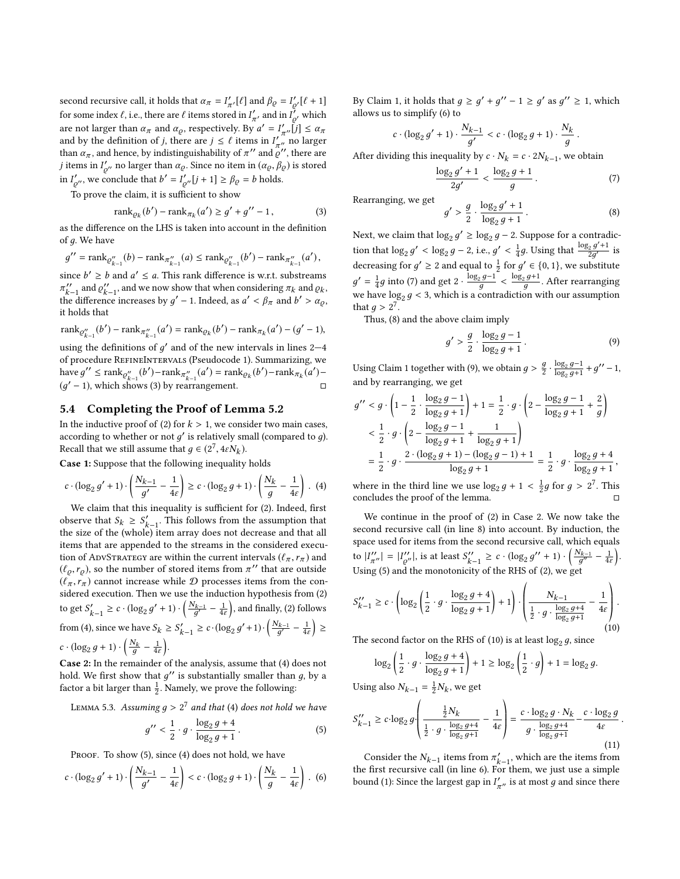second recursive call, it holds that  $\alpha_{\pi} = I'_{\pi'}[\ell]$  and  $\beta_{\varrho} = I'_{\varrho'}[\ell+1]$ <br>for some independent in the same fitting start in  $I'_{\varrho}$  and in  $I'_{\varrho}$  and it is for some index  $\ell$ , i.e., there are  $\ell$  items stored in  $I'_{n\ell}$ , and in  $I'_{\ell'}$  which are not larger than  $\alpha_{\pi}$  and  $\alpha_{\varrho}$ , respectively. By  $a' = I'_{\pi''}[j] \leq \alpha_{\pi}$ and by the definition of j, there are  $j \leq \ell$  items in  $I''_{n,n}$  no larger<br>than  $\alpha$  and hence by indistinguishability of  $\pi''$  and  $\alpha''$  there are than  $\alpha_{\pi}$ , and hence, by indistinguishability of  $\pi^{\prime\prime}$  and  $\varrho^{\prime\prime}$ , there are *j* items in  $I'_{\rho''}$  no larger than  $\alpha_{\rho}$ . Since no item in  $(\alpha_{\rho}, \beta_{\rho})$  is stored in  $I'_{\varrho''}$ , we conclude that  $b' = I'_{\varrho''}[j+1] \ge \beta_{\varrho} = b$  holds.

To prove the claim, it is sufficient to show

<span id="page-9-0"></span>
$$
rank_{\varrho_k}(b') - rank_{\pi_k}(a') \ge g' + g'' - 1,
$$
 (3)

as the difference on the LHS is taken into account in the definition of д. We have

$$
g^{\prime\prime}={\rm rank}_{\mathcal{Q}''_{k-1}}(b)-{\rm rank}_{\pi_{k-1}''}(a)\leq {\rm rank}_{\mathcal{Q}''_{k-1}}(b^\prime)-{\rm rank}_{\pi_{k-1}''}(a^\prime)\,,
$$

since  $b' \ge b$  and  $a' \le a$ . This rank difference is w.r.t. substreams  $\pi_{k-1}''$  and  $\varrho_{k-1}''$ , and we now show that when considering  $\pi_k$  and  $\varrho_k$ , the difference increases by  $g' - 1$ . Indeed, as  $a' < \beta_{\pi}$  and  $b' > \alpha_{\varrho}$ , it holds that it holds that

$$
\text{rank}_{\mathcal{Q}''_{k-1}}(b') - \text{rank}_{\pi''_{k-1}}(a') = \text{rank}_{\mathcal{Q}_k}(b') - \text{rank}_{\pi_k}(a') - (g' - 1),
$$

using the definitions of  $g'$  and of the new intervals in lines 2–4 of procedure RefineIntervals (Pseudocode [1\)](#page-4-0). Summarizing, we have  $g'' \le \text{rank}_{\mathcal{Q}''_{k-1}}(b') - \text{rank}_{\pi''_{k-1}}(a') = \text{rank}_{\mathcal{Q}_k}(b') - \text{rank}_{\pi_k}(a') (g' - 1)$ , which shows [\(3\)](#page-9-0) by rearrangement. □

## 5.4 Completing the Proof of Lemma [5.2](#page-8-1)

In the inductive proof of [\(2\)](#page-8-0) for  $k > 1$ , we consider two main cases, according to whether or not  $g'$  is relatively small (compared to  $g$ ). Recall that we still assume that  $g \in (2^7, 4\epsilon N_k)$ .

Case 1: Suppose that the following inequality holds

<span id="page-9-1"></span>
$$
c \cdot (\log_2 g' + 1) \cdot \left(\frac{N_{k-1}}{g'} - \frac{1}{4\varepsilon}\right) \ge c \cdot (\log_2 g + 1) \cdot \left(\frac{N_k}{g} - \frac{1}{4\varepsilon}\right). \tag{4}
$$

We claim that this inequality is sufficient for [\(2\)](#page-8-0). Indeed, first observe that  $S_k \geq S'_{k-1}$ . This follows from the assumption that the size of the (whole) item array does not decrease and that all items that are appended to the streams in the considered execution of ADVSTRATEGY are within the current intervals ( $\ell_{\pi}, r_{\pi}$ ) and  $(\ell_{\varrho}, r_{\varrho})$ , so the number of stored items from  $\pi'$  that are outside<br> $(\ell_{\pi})$  cannot increase while  $\Omega$  processes items from the con- $(\ell_{\pi}, r_{\pi})$  cannot increase while D processes items from the considered execution. Then we use the induction hypothesis from [\(2\)](#page-8-0) to get  $S'_{k-1} \ge c \cdot (\log_2 g' + 1) \cdot \left(\frac{N_{k-1}}{g'} - \frac{1}{4\varepsilon}\right)$ , and finally, [\(2\)](#page-8-0) follows from [\(4\)](#page-9-1), since we have  $S_k \geq S'_{k-1} \geq c \cdot (\log_2 g' + 1) \cdot \left(\frac{N_{k-1}}{g'} - \frac{1}{4\varepsilon}\right) \geq$  $c \cdot (\log_2 g + 1) \cdot \left(\frac{N_k}{g} - \frac{1}{4\varepsilon}\right).$ 

Case 2: In the remainder of the analysis, assume that [\(4\)](#page-9-1) does not hold. We first show that  $g''$  is substantially smaller than  $g$ , by a factor a bit larger than  $\frac{1}{2}$ . Namely, we prove the following:

LEMMA 5.3. Assuming  $g > 2^7$  and that [\(4\)](#page-9-1) does not hold we have

<span id="page-9-2"></span>
$$
g'' < \frac{1}{2} \cdot g \cdot \frac{\log_2 g + 4}{\log_2 g + 1} \,. \tag{5}
$$

PROOF. To show [\(5\)](#page-9-2), since [\(4\)](#page-9-1) does not hold, we have

<span id="page-9-3"></span>
$$
c \cdot (\log_2 g' + 1) \cdot \left(\frac{N_{k-1}}{g'} - \frac{1}{4\varepsilon}\right) < c \cdot (\log_2 g + 1) \cdot \left(\frac{N_k}{g} - \frac{1}{4\varepsilon}\right). \tag{6}
$$

By Claim [1,](#page-8-4) it holds that  $g \ge g' + g'' - 1 \ge g'$  as  $g'' \ge 1$ , which allows us to simplify [\(6\)](#page-9-3) to

$$
c \cdot (\log_2 g' + 1) \cdot \frac{N_{k-1}}{g'} < c \cdot (\log_2 g + 1) \cdot \frac{N_k}{g}
$$

After dividing this inequality by  $c \cdot N_k = c \cdot 2N_{k-1}$ , we obtain

<span id="page-9-4"></span>
$$
\frac{\log_2 g' + 1}{2g'} < \frac{\log_2 g + 1}{g} \,. \tag{7}
$$

Rearranging, we get

<span id="page-9-5"></span>
$$
g' > \frac{g}{2} \cdot \frac{\log_2 g' + 1}{\log_2 g + 1} \,. \tag{8}
$$

Next, we claim that  $\log_2 g' \ge \log_2 g - 2$ . Suppose for a contradiction that  $\log_2 g' < \log_2 g - 2$ , i.e.,  $g' < \frac{1}{4}g$ . Using that  $\frac{\log_2 g' + 1}{2g'}$ decreasing for  $g' \ge 2$  and equal to  $\frac{1}{2}$  for  $g' \in \{0, 1\}$ , we substitute  $\frac{2}{2} \frac{g' + 1}{2g'}$  is  $g' = \frac{1}{4}g$  into [\(7\)](#page-9-4) and get 2 ·  $\frac{\log_2 g - 1}{g}$  $\frac{g}{g}$  $\log_2 g+1$  $\frac{q}{g}$  . After rearranging we have  $\log_2 g < 3$ , which is a contradiction with our assumption<br>that  $a > 2^7$ that  $g > 2^7$ .<br>Thus (8)

Thus, [\(8\)](#page-9-5) and the above claim imply

<span id="page-9-6"></span>
$$
g' > \frac{g}{2} \cdot \frac{\log_2 g - 1}{\log_2 g + 1} \,. \tag{9}
$$

Using Claim [1](#page-8-4) together with [\(9\)](#page-9-6), we obtain  $g > \frac{g}{2} \cdot \frac{\log_2 g - 1}{\log_2 g + 1}$  $\frac{\log_2 g - 1}{\log_2 g + 1} + g'' - 1,$ and by rearranging, we get

$$
g'' < g \cdot \left(1 - \frac{1}{2} \cdot \frac{\log_2 g - 1}{\log_2 g + 1}\right) + 1 = \frac{1}{2} \cdot g \cdot \left(2 - \frac{\log_2 g - 1}{\log_2 g + 1} + \frac{2}{g}\right)
$$
  

$$
< \frac{1}{2} \cdot g \cdot \left(2 - \frac{\log_2 g - 1}{\log_2 g + 1} + \frac{1}{\log_2 g + 1}\right)
$$
  

$$
= \frac{1}{2} \cdot g \cdot \frac{2 \cdot (\log_2 g + 1) - (\log_2 g - 1) + 1}{\log_2 g + 1} = \frac{1}{2} \cdot g \cdot \frac{\log_2 g + 4}{\log_2 g + 1},
$$

where in the third line we use  $\log_2 g + 1 < \frac{1}{2}g$  for  $g > 2^7$ . This concludes the proof of the lemma.

We continue in the proof of [\(2\)](#page-8-0) in Case 2. We now take the second recursive call (in line [8\)](#page-5-2) into account. By induction, the space used for items from the second recursive call, which equals to  $|I''_{\pi''}| = |I''_{\varrho''}|$ , is at least  $S''_{k-1} \ge c \cdot (\log_2 g'' + 1) \cdot \left(\frac{N_{k-1}}{g''} - \frac{1}{4\varepsilon}\right)$ . Using [\(5\)](#page-9-2) and the monotonicity of the RHS of [\(2\)](#page-8-0), we get

<span id="page-9-7"></span>
$$
S_{k-1}^{"'} \ge c \cdot \left( \log_2 \left( \frac{1}{2} \cdot g \cdot \frac{\log_2 g + 4}{\log_2 g + 1} \right) + 1 \right) \cdot \left( \frac{N_{k-1}}{\frac{1}{2} \cdot g \cdot \frac{\log_2 g + 4}{\log_2 g + 1}} - \frac{1}{4\varepsilon} \right). \tag{10}
$$

The second factor on the RHS of [\(10\)](#page-9-7) is at least  $\log_2 g$ , since

$$
\log_2\left(\frac{1}{2}\cdot g\cdot \frac{\log_2g+4}{\log_2g+1}\right)+1\geq \log_2\left(\frac{1}{2}\cdot g\right)+1=\log_2g.
$$

Using also  $N_{k-1} = \frac{1}{2} N_k$ , we get

<span id="page-9-8"></span>
$$
S_{k-1}^{"'} \ge c \cdot \log_2 g \cdot \left( \frac{\frac{1}{2} N_k}{\frac{1}{2} \cdot g \cdot \frac{\log_2 g + 4}{\log_2 g + 1}} - \frac{1}{4\epsilon} \right) = \frac{c \cdot \log_2 g \cdot N_k}{g \cdot \frac{\log_2 g + 4}{\log_2 g + 1}} - \frac{c \cdot \log_2 g}{4\epsilon}
$$
\n(11)

Consider the  $N_{k-1}$  items from  $\pi'_{k-1}$ , which are the items from the first recursive call (in line [6\)](#page-5-2). For them, we just use a simple bound [\(1\)](#page-8-2): Since the largest gap in  $I'_{\pi''}$  is at most g and since there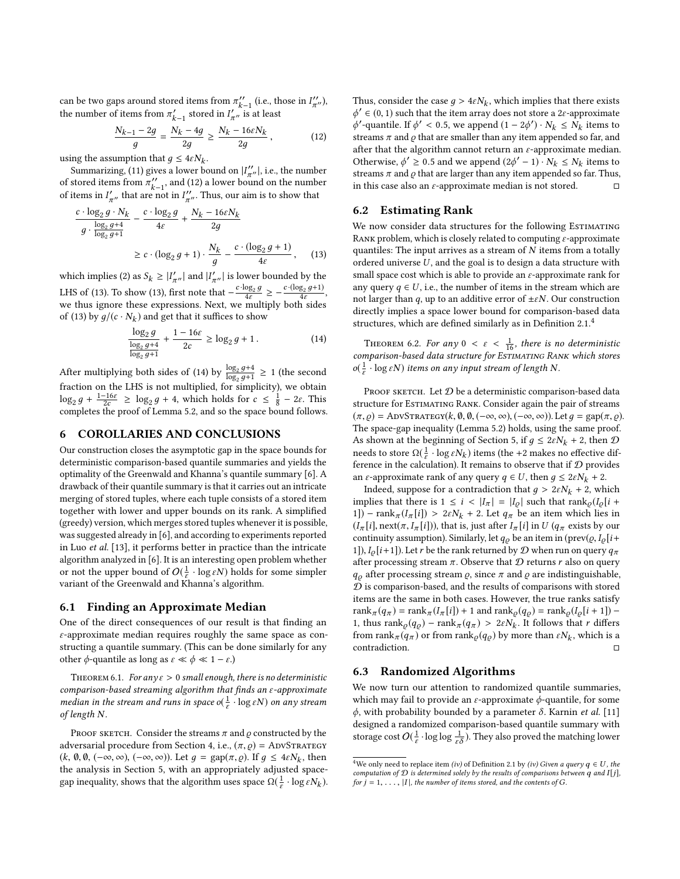can be two gaps around stored items from  $\pi_{k-1}^{\prime\prime}$  (i.e., those in  $I_{\pi^{\prime\prime}}^{\prime\prime}$ ), the number of items from  $\pi'_{k-1}$  stored in  $I'_{\pi''}$  is at least

<span id="page-10-1"></span>
$$
\frac{N_{k-1}-2g}{g} = \frac{N_k-4g}{2g} \ge \frac{N_k-16\varepsilon N_k}{2g},\qquad (12)
$$

using the assumption that  $g \leq 4\varepsilon N_k$ .

Summarizing, [\(11\)](#page-9-8) gives a lower bound on  $|I''_{\pi''}|$ , i.e., the number of stored items from  $\pi_{k-1}^{\prime\prime}$ , and [\(12\)](#page-10-1) a lower bound on the number of items in  $I'_{\pi}$ , that are not in  $I''_{\pi}$ . Thus, our aim is to show that

$$
\frac{c \cdot \log_2 g \cdot N_k}{g \cdot \frac{\log_2 g + 4}{\log_2 g + 1}} - \frac{c \cdot \log_2 g}{4\varepsilon} + \frac{N_k - 16\varepsilon N_k}{2g}
$$
\n
$$
\geq c \cdot (\log_2 g + 1) \cdot \frac{N_k}{g} - \frac{c \cdot (\log_2 g + 1)}{4\varepsilon}, \quad (13)
$$

which implies [\(2\)](#page-8-0) as  $S_k \ge |I'_{\pi''}|$  and  $|I'_{\pi''}|$  is lower bounded by the LHS of [\(13\)](#page-10-2). To show (13), first note that  $-\frac{c \cdot \log_2 g}{4\varepsilon} \ge -\frac{c \cdot (\log_2 g + 1)}{4\varepsilon}$  $\frac{g_2 g+1)}{4\varepsilon}$ , we thus ignore these expressions. Next, we multiply both sides of [\(13\)](#page-10-2) by  $g/(c \cdot N_k)$  and get that it suffices to show

<span id="page-10-3"></span>
$$
\frac{\log_2 g}{\log_2 g + 4} + \frac{1 - 16\varepsilon}{2c} \ge \log_2 g + 1. \tag{14}
$$

After multiplying both sides of [\(14\)](#page-10-3) by  $\frac{\log_2 g + 4}{\log_2 g}$  $\frac{\log_2 g + 4}{\log_2 g + 1} \geq 1$  (the second fraction on the LHS is not multiplied, for simplicity), we obtain  $\log_2 g + \frac{1-16\varepsilon}{2\varepsilon} \ge \log_2 g + 4$ , which holds for  $\varepsilon \le \frac{1}{8} - 2\varepsilon$ . This completes the proof of Lemma [5.2,](#page-8-1) and so the space bound follows.

## <span id="page-10-0"></span>6 COROLLARIES AND CONCLUSIONS

Our construction closes the asymptotic gap in the space bounds for deterministic comparison-based quantile summaries and yields the optimality of the Greenwald and Khanna's quantile summary [\[6\]](#page-12-0). A drawback of their quantile summary is that it carries out an intricate merging of stored tuples, where each tuple consists of a stored item together with lower and upper bounds on its rank. A simplified (greedy) version, which merges stored tuples whenever it is possible, was suggested already in [\[6\]](#page-12-0), and according to experiments reported in Luo et al. [\[13\]](#page-12-11), it performs better in practice than the intricate algorithm analyzed in [\[6\]](#page-12-0). It is an interesting open problem whether or not the upper bound of  $O(\frac{1}{\varepsilon} \cdot \log \varepsilon N)$  holds for some simpler variant of the Greenwald and Khanna's algorithm.

#### 6.1 Finding an Approximate Median

One of the direct consequences of our result is that finding an  $\varepsilon$ -approximate median requires roughly the same space as constructing a quantile summary. (This can be done similarly for any other  $\phi$ -quantile as long as  $\varepsilon \ll \phi \ll 1 - \varepsilon$ .)

THEOREM 6.1. For any  $\varepsilon > 0$  small enough, there is no deterministic comparison-based streaming algorithm that finds an ε-approximate median in the stream and runs in space o( $\frac{1}{s}$ )  $\frac{1}{\varepsilon} \cdot \log \varepsilon N$ ) on any stream of length N.

PROOF SKETCH. Consider the streams  $\pi$  and  $\rho$  constructed by the adversarial procedure from Section [4,](#page-3-1) i.e.,  $(\pi, \rho) =$  ADVSTRATEGY  $(k, \emptyset, \emptyset, (-\infty, \infty), (-\infty, \infty))$ . Let  $g = \text{gap}(\pi, \rho)$ . If  $g \leq 4\epsilon N_k$ , then the analysis in Section 5, with an appropriately edited space. the analysis in Section [5,](#page-7-0) with an appropriately adjusted spacegap inequality, shows that the algorithm uses space  $\Omega(\frac{1}{\varepsilon})$  $\frac{1}{\varepsilon} \cdot \log \varepsilon N_k$ ).

Thus, consider the case  $g > 4\epsilon N_k$ , which implies that there exists  $\phi' \in (0, 1)$  such that the item array does not store a 2c-approximate  $\phi' \in (0, 1)$  such that the item array does not store a 2 $\varepsilon$ -approximate<br>  $\phi'$ -quantile If  $\phi' > 0.5$  we append  $(1 - 2\phi')$ .  $N_L < N_L$  items to  $\phi'$ -quantile. If  $\phi' < 0.5$ , we append  $(1 - 2\phi') \cdot N_k \le N_k$  items to streams  $\pi$  and o that are smaller than any item appended so far and streams  $\pi$  and  $\rho$  that are smaller than any item appended so far, and after that the algorithm cannot return an  $\varepsilon$ -approximate median. Otherwise,  $\phi' \geq 0.5$  and we append  $(2\phi' - 1) \cdot N_k \leq N_k$  items to streams  $\pi$  and o that are larger than any item appended so for Thus streams  $\pi$  and  $\rho$  that are larger than any item appended so far. Thus, in this case also an  $\varepsilon$ -approximate median is not stored.  $\Box$ 

#### 6.2 Estimating Rank

<span id="page-10-2"></span>We now consider data structures for the following ESTIMATING RANK problem, which is closely related to computing  $\varepsilon$ -approximate quantiles: The input arrives as a stream of  $N$  items from a totally ordered universe  $U$ , and the goal is to design a data structure with small space cost which is able to provide an  $\varepsilon$ -approximate rank for any query  $q \in U$ , i.e., the number of items in the stream which are not larger than q, up to an additive error of  $\pm \varepsilon N$ . Our construction directly implies a space lower bound for comparison-based data structures, which are defined similarly as in Definition [2.1.](#page-2-1)[4](#page-10-4)

THEOREM 6.2. For any  $0 < \varepsilon < \frac{1}{16}$ , there is no deterministic<br>mogrison-based data structure for ESTIMATING PANK which stores comparison-based data structure for ESTIMATING RANK which stores  $o(\frac{1}{\varepsilon})$  $\frac{1}{\varepsilon}$   $\cdot$  log  $\varepsilon$ N) items on any input stream of length N.

PROOF SKETCH. Let  $D$  be a deterministic comparison-based data structure for ESTIMATING RANK. Consider again the pair of streams  $(\pi, \varrho) = \text{AdvStrart}(\kappa, \emptyset, \emptyset, (-\infty, \infty), (-\infty, \infty))$ . Let  $g = \text{gap}(\pi, \varrho)$ . The space-gap inequality (Lemma [5.2\)](#page-8-1) holds, using the same proof. As shown at the beginning of Section [5,](#page-7-0) if  $g \leq 2\varepsilon N_k + 2$ , then  $D$ needs to store  $Ω($  $\frac{1}{ε}$  $\frac{1}{\varepsilon} \cdot \log \varepsilon N_k$ ) items (the +2 makes no effective difference in the calculation). It remains to observe that if  $D$  provides an  $\varepsilon$ -approximate rank of any query  $q \in U$ , then  $q \leq 2\varepsilon N_k + 2$ .

Indeed, suppose for a contradiction that  $g > 2\varepsilon N_k + 2$ , which implies that there is  $1 \le i \le |I_{\pi}| = |I_{\rho}|$  such that rank $\rho(I_{\rho}[i +$ 1]) – rank $\pi(I_{\pi}[i]) > 2\varepsilon N_k + 2$ . Let  $q_{\pi}$  be an item which lies in  $(I_{\pi}[i], \text{next}(\pi, I_{\pi}[i]),$  that is, just after  $I_{\pi}[i]$  in U  $(q_{\pi}$  exists by our continuity assumption). Similarly, let  $q<sub>o</sub>$  be an item in (prev( $\varrho$ ,  $I<sub>o</sub>$ [i+ 1]),  $I_{\rho}[i+1]$ ). Let r be the rank returned by  $\mathcal D$  when run on query  $q_{\pi}$ after processing stream  $\pi$ . Observe that  $D$  returns r also on query  $q_{\rho}$  after processing stream  $\rho$ , since  $\pi$  and  $\rho$  are indistinguishable,  ${\mathcal D}$  is comparison-based, and the results of comparisons with stored items are the same in both cases. However, the true ranks satisfy rank $\pi(q_\pi)$  = rank $\pi(I_\pi[i])$  + 1 and rank $\rho(q_\rho)$  = rank $\rho(I_\rho[i+1])$  – 1, thus rank $\varrho(q_\varrho)$  – rank $\pi(q_\pi) > 2\varepsilon N_k$ . It follows that r differs from  $\text{rank}_{\pi}(q_{\pi})$  or from  $\text{rank}_{\varrho}(q_{\varrho})$  by more than  $\epsilon N_k$ , which is a contradiction. □

## <span id="page-10-5"></span>6.3 Randomized Algorithms

We now turn our attention to randomized quantile summaries, which may fail to provide an  $\varepsilon$ -approximate  $\phi$ -quantile, for some  $\phi$ , with probability bounded by a parameter  $\delta$ . Karnin et al. [\[11\]](#page-12-13) designed a randomized comparison-based quantile summary with storage cost  $O(\frac{1}{\varepsilon} \cdot \log \log \frac{1}{\varepsilon \delta})$ . They also proved the matching lower

<span id="page-10-4"></span><sup>&</sup>lt;sup>4</sup>We only need to replace item (iv) of Definition [2.1](#page-2-1) by (iv) Given a query  $q \in U$ , the computation of  $D$  is determined solely by the results of comparisons between  $q$  and  $I[j]$ , for  $j = 1, \ldots, |I|$ , the number of items stored, and the contents of G.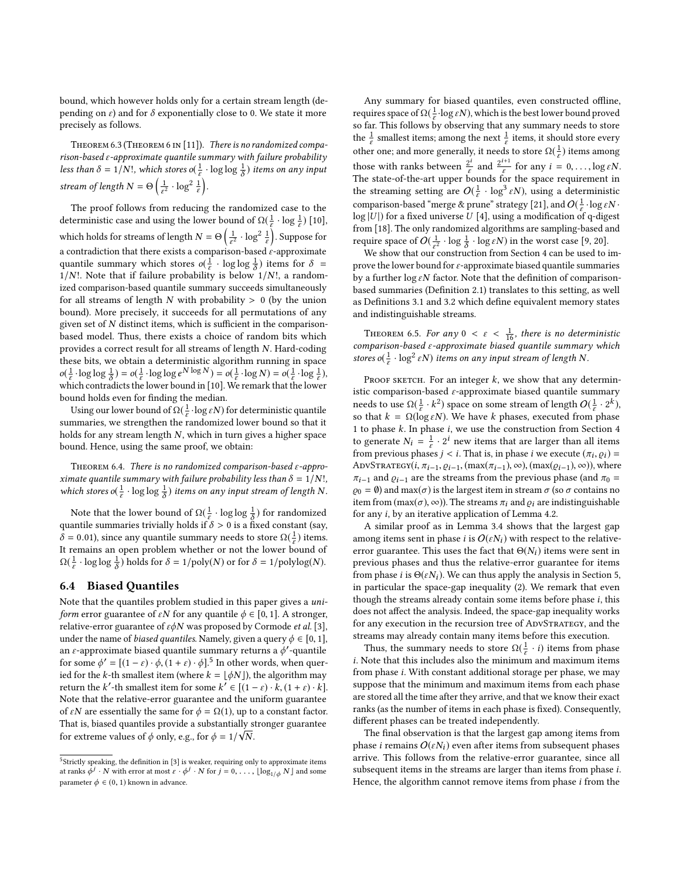bound, which however holds only for a certain stream length (depending on  $\varepsilon$ ) and for  $\delta$  exponentially close to 0. We state it more precisely as follows.

THEOREM 6.3 (THEOREM 6 IN [\[11\]](#page-12-13)). There is no randomized compa $r$ ison-based  $\varepsilon$ -approximate quantile summary with failure probability less than  $\delta = 1/N!$ , which stores o( $\frac{1}{s}$  $\frac{1}{\varepsilon} \cdot \log \log \frac{1}{\delta}$ ) items on any input stream of length  $N = \Theta\left(\frac{1}{\varepsilon^2}\right)$  $rac{1}{\varepsilon^2} \cdot \log^2 \frac{1}{\varepsilon}$ .

The proof follows from reducing the randomized case to the deterministic case and using the lower bound of  $\Omega(\frac{1}{\epsilon})$  $\frac{1}{\varepsilon} \cdot \log \frac{1}{\varepsilon}$ ) [\[10\]](#page-12-7), which holds for streams of length  $N = \Theta\left(\frac{1}{\varepsilon^2}\right)$  $\frac{1}{\varepsilon^2} \cdot \log^2 \frac{1}{\varepsilon}$ ). Suppose for a contradiction that there exists a comparison-based  $\stackrel{\cdot}{\epsilon}$ -approximate quantile summary which stores  $o(\frac{1}{\epsilon})$  $\frac{1}{\varepsilon}$  · log log  $\frac{1}{\delta}$ ) items for  $\delta =$  $1/N!$ . Note that if failure probability is below  $1/N!$ , a randomized comparison-based quantile summary succeeds simultaneously for all streams of length  $N$  with probability  $> 0$  (by the union bound). More precisely, it succeeds for all permutations of any given set of  $N$  distinct items, which is sufficient in the comparisonbased model. Thus, there exists a choice of random bits which provides a correct result for all streams of length N. Hard-coding these bits, we obtain a deterministic algorithm running in space  $o(\frac{1}{\varepsilon})$  $\frac{1}{\varepsilon} \cdot \log \log \frac{1}{\delta}$ ) =  $o(\frac{1}{\varepsilon})$  $\frac{1}{\varepsilon} \cdot \log \log e^{N \log N}$ ) =  $o(\frac{1}{\varepsilon})$  $\frac{1}{\varepsilon} \cdot \log N$ ) =  $o(\frac{1}{\varepsilon})$  $\frac{1}{\varepsilon} \cdot \log \frac{1}{\varepsilon}$ ), which contradicts the lower bound in [\[10\]](#page-12-7). We remark that the lower bound holds even for finding the median.

Using our lower bound of  $\Omega(\frac{1}{\varepsilon}))$  $\frac{1}{\varepsilon}$ ·log  $\varepsilon N$ ) for deterministic quantile summaries, we strengthen the randomized lower bound so that it holds for any stream length N, which in turn gives a higher space bound. Hence, using the same proof, we obtain:

THEOREM 6.4. There is no randomized comparison-based  $\varepsilon$ -approximate quantile summary with failure probability less than  $\delta = 1/N!$ , which stores  $o(\frac{1}{\epsilon})$  $\frac{1}{\varepsilon} \cdot \log \log \frac{1}{\delta}$  items on any input stream of length N.

Note that the lower bound of  $\Omega(\frac{1}{\varepsilon}))$ <br>antile summaries trivially holds if  $\frac{1}{\varepsilon} \cdot \log \log \frac{1}{\delta}$ ) for randomized quantile summaries trivially holds if  $\delta > 0$  is a fixed constant (say,  $\delta = 0.01$ ), since any quantile summary needs to store  $\Omega(\frac{1}{\epsilon})$  $\frac{1}{\varepsilon}$ ) items. It remains an open problem whether or not the lower bound of  $\Omega(\frac{1}{\varepsilon})$  $\frac{1}{\varepsilon} \cdot \log \log \frac{1}{\delta}$  holds for  $\delta = 1/\text{poly}(N)$  or for  $\delta = 1/\text{polylog}(N)$ .

## 6.4 Biased Quantiles

Note that the quantiles problem studied in this paper gives a uni*form* error guarantee of  $\varepsilon N$  for any quantile  $\phi \in [0, 1]$ . A stronger, relative-error guarantee of  $\varepsilon \phi N$  was proposed by Cormode *et al.* [\[3\]](#page-12-17), under the name of *biased quantiles*. Namely, given a query  $\phi \in [0, 1]$ , an  $\varepsilon$ -approximate biased quantile summary returns a  $\phi'$ -quantile for some  $\phi' = [(1 - \varepsilon) \cdot \phi, (1 + \varepsilon) \cdot \phi]$ .<sup>[5](#page-11-0)</sup> In other words, when quer-<br>ied for the k-th smallest item (where  $k = |A N|$ ) the algorithm may ied for the k-th smallest item (where  $k = \lfloor \phi N \rfloor$ ), the algorithm may return the k'-th smallest item for some  $k' \in [(1 - \varepsilon) \cdot k, (1 + \varepsilon) \cdot k]$ .<br>Note that the relative-error suggestion and the uniform suggestive Note that the relative-error guarantee and the uniform guarantee of  $\varepsilon N$  are essentially the same for  $\phi = \Omega(1)$ , up to a constant factor. That is, biased quantiles provide a substantially stronger guarantee √ for extreme values of  $\phi$  only, e.g., for  $\phi = 1/\sqrt{N}$ .

Any summary for biased quantiles, even constructed offline, requires space of  $\Omega(\frac{1}{\varepsilon})$  $\frac{1}{\varepsilon}$ ·log  $\varepsilon N$ ), which is the best lower bound proved so far. This follows by observing that any summary needs to store the  $\frac{1}{\varepsilon}$  smallest items; among the next  $\frac{1}{\varepsilon}$  items, it should store every other one; and more generally, it needs to store  $\Omega(\frac{1}{\varepsilon})$  $\frac{1}{\varepsilon}$ ) items among those with ranks between  $\frac{2^i}{\varepsilon}$  and  $\frac{2^{i+1}}{\varepsilon}$ those with ranks between  $\frac{2^L}{\varepsilon}$  and  $\frac{2^{L+1}}{\varepsilon}$  for any  $i = 0, \ldots, \log \varepsilon N$ .<br>The state-of-the-art upper bounds for the space requirement in the streaming setting are  $O(\frac{1}{\varepsilon} \cdot \log^3 \varepsilon N)$ , using a deterministic comparison-based "merge & prune" strategy [\[21\]](#page-12-18), and  $O(\frac{1}{\varepsilon} \cdot \log \varepsilon N \cdot$  $log |U|$ ) for a fixed universe U [\[4\]](#page-12-19), using a modification of q-digest from [\[18\]](#page-12-8). The only randomized algorithms are sampling-based and require space of  $O(\frac{1}{\epsilon^2} \cdot \log \frac{1}{\delta} \cdot \log \epsilon N)$  in the worst case [\[9,](#page-12-20) [20\]](#page-12-21).

We show that our construction from Section [4](#page-3-1) can be used to improve the lower bound for  $\varepsilon$ -approximate biased quantile summaries by a further  $\log \varepsilon N$  factor. Note that the definition of comparisonbased summaries (Definition [2.1\)](#page-2-1) translates to this setting, as well as Definitions [3.1](#page-3-5) and [3.2](#page-3-3) which define equivalent memory states and indistinguishable streams.

THEOREM 6.5. For any  $0 < \varepsilon < \frac{1}{16}$ , there is no deterministic<br>mparison-hased s-approximate biased quantile summary which comparison-based ε-approximate biased quantile summary which stores o( $\frac{1}{\varepsilon}$  $\frac{1}{\varepsilon} \cdot \log^2 \varepsilon N$ ) items on any input stream of length N.

PROOF SKETCH. For an integer  $k$ , we show that any deterministic comparison-based  $\varepsilon$ -approximate biased quantile summary needs to use  $Ω($  $\frac{1}{ε}$ <br>so that  $k = Ω($  $\frac{1}{\varepsilon} \cdot k^2$ ) space on some stream of length  $O(\frac{1}{\varepsilon} \cdot 2^k)$ , so that  $k = \Omega(\log \varepsilon N)$ . We have k phases, executed from phase 1 to phase  $k$ . In phase  $i$ , we use the construction from Section [4](#page-3-1) to generate  $N_i = \frac{1}{\varepsilon}$  $\frac{1}{\varepsilon} \cdot 2^i$  new items that are larger than all items from previous phases  $j < i$ . That is, in phase  $i$  we execute  $(\pi_i, \varrho_i) =$ <br>ADVSTRATECY $(i, \pi_{i+1}, \varrho_{i+1}, \varrho_{i+1}) \otimes (m \varrho_{i+1}, \varrho_{i+1}) \otimes (m \varrho_{i+1}, \varrho_{i+1})$ ADVSTRATEGY( $i$ ,  $\pi_{i-1}$ ,  $\varrho_{i-1}$ , (max $(\pi_{i-1})$ , ∞), (max $(\varrho_{i-1})$ , ∞)), where  $\pi_{i-1}$  and  $\varrho_{i-1}$  are the streams from the previous phase (and  $\pi_0$  =  $\varrho_0 = \varnothing$ ) and max( $\sigma$ ) is the largest item in stream  $\sigma$  (so  $\sigma$  contains no item from  $(\max(\sigma), \infty)$ ). The streams  $\pi_i$  and  $\rho_i$  are indistinguishable for any i, by an iterative application of Lemma [4.2.](#page-7-2)

A similar proof as in Lemma [3.4](#page-3-2) shows that the largest gap among items sent in phase i is  $O(\varepsilon N_i)$  with respect to the relativeerror guarantee. This uses the fact that  $\Theta(N_i)$  items were sent in previous phases and thus the relative-error guarantee for items from phase *i* is  $\Theta(\varepsilon N_i)$ . We can thus apply the analysis in Section [5,](#page-7-0) in particular the space-gap inequality [\(2\)](#page-8-0). We remark that even though the streams already contain some items before phase i, this does not affect the analysis. Indeed, the space-gap inequality works for any execution in the recursion tree of ADVSTRATEGY, and the streams may already contain many items before this execution.

Thus, the summary needs to store  $\Omega(\frac{1}{\varepsilon})$  $\frac{1}{\varepsilon} \cdot i$ ) items from phase  $i.$  Note that this includes also the minimum and maximum items from phase i. With constant additional storage per phase, we may suppose that the minimum and maximum items from each phase are stored all the time after they arrive, and that we know their exact ranks (as the number of items in each phase is fixed). Consequently, different phases can be treated independently.

The final observation is that the largest gap among items from phase i remains  $O(\varepsilon N_i)$  even after items from subsequent phases arrive. This follows from the relative-error guarantee, since all subsequent items in the streams are larger than items from phase i. Hence, the algorithm cannot remove items from phase i from the

<span id="page-11-0"></span><sup>&</sup>lt;sup>5</sup>Strictly speaking, the definition in [\[3\]](#page-12-17) is weaker, requiring only to approximate items at ranks  $\dot{\phi}^j \cdot N$  with error at most  $\varepsilon \cdot \dot{\phi}^j \cdot N$  for  $j = 0, \ldots, \lfloor \log_{1/\phi} N \rfloor$  and some parameter  $\phi \in (0, 1)$  known in advance.